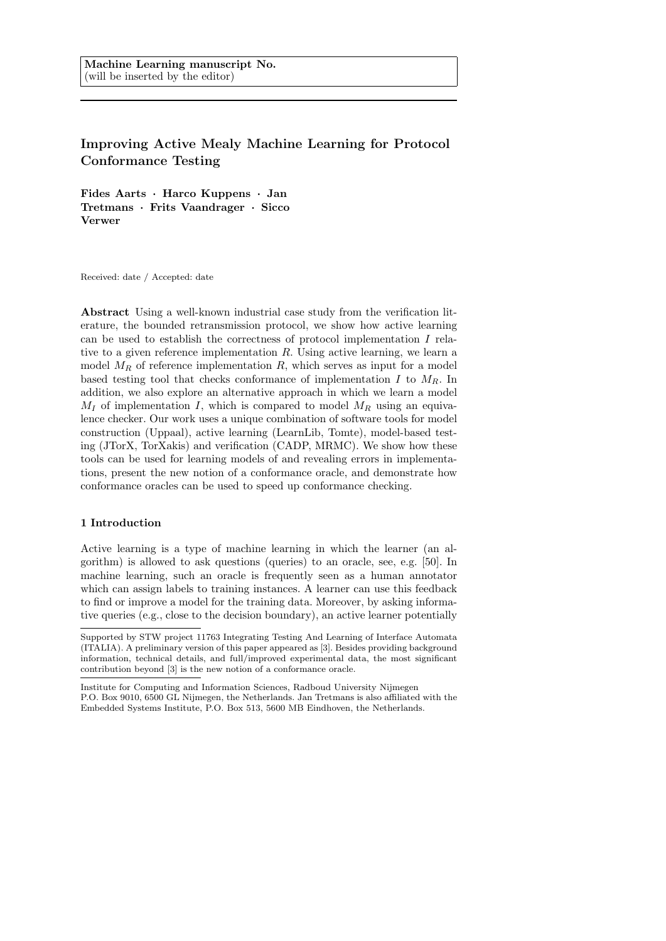# Improving Active Mealy Machine Learning for Protocol Conformance Testing

Fides Aarts · Harco Kuppens · Jan Tretmans · Frits Vaandrager · Sicco Verwer

Received: date / Accepted: date

Abstract Using a well-known industrial case study from the verification literature, the bounded retransmission protocol, we show how active learning can be used to establish the correctness of protocol implementation I relative to a given reference implementation  $R$ . Using active learning, we learn a model  $M_R$  of reference implementation R, which serves as input for a model based testing tool that checks conformance of implementation I to  $M_R$ . In addition, we also explore an alternative approach in which we learn a model  $M_I$  of implementation I, which is compared to model  $M_R$  using an equivalence checker. Our work uses a unique combination of software tools for model construction (Uppaal), active learning (LearnLib, Tomte), model-based testing (JTorX, TorXakis) and verification (CADP, MRMC). We show how these tools can be used for learning models of and revealing errors in implementations, present the new notion of a conformance oracle, and demonstrate how conformance oracles can be used to speed up conformance checking.

# 1 Introduction

Active learning is a type of machine learning in which the learner (an algorithm) is allowed to ask questions (queries) to an oracle, see, e.g. [50]. In machine learning, such an oracle is frequently seen as a human annotator which can assign labels to training instances. A learner can use this feedback to find or improve a model for the training data. Moreover, by asking informative queries (e.g., close to the decision boundary), an active learner potentially

Supported by STW project 11763 Integrating Testing And Learning of Interface Automata (ITALIA). A preliminary version of this paper appeared as [3]. Besides providing background information, technical details, and full/improved experimental data, the most significant contribution beyond [3] is the new notion of a conformance oracle.

Institute for Computing and Information Sciences, Radboud University Nijmegen P.O. Box 9010, 6500 GL Nijmegen, the Netherlands. Jan Tretmans is also affiliated with the Embedded Systems Institute, P.O. Box 513, 5600 MB Eindhoven, the Netherlands.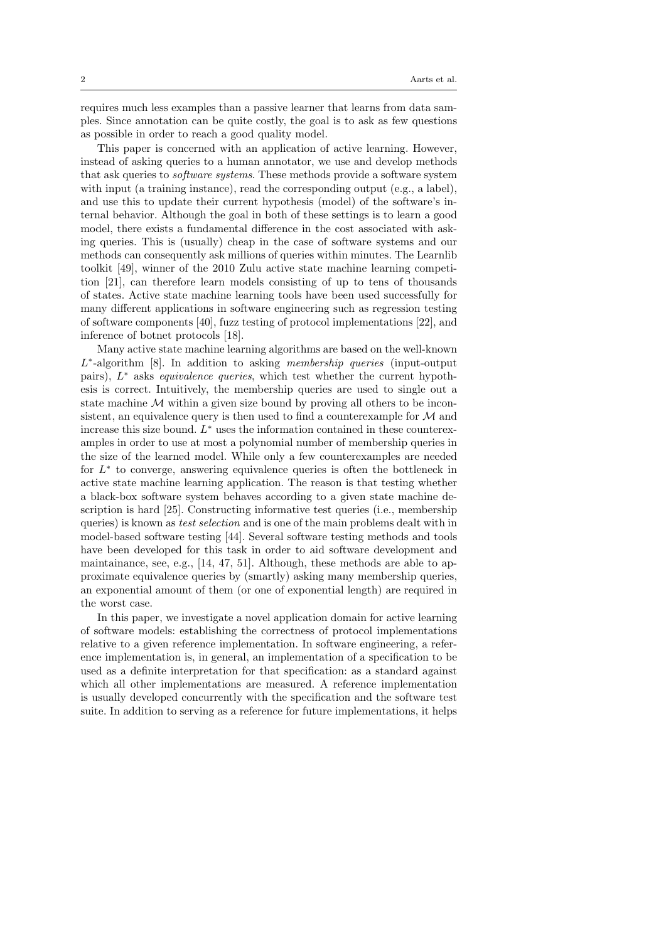requires much less examples than a passive learner that learns from data samples. Since annotation can be quite costly, the goal is to ask as few questions as possible in order to reach a good quality model.

This paper is concerned with an application of active learning. However, instead of asking queries to a human annotator, we use and develop methods that ask queries to software systems. These methods provide a software system with input (a training instance), read the corresponding output (e.g., a label), and use this to update their current hypothesis (model) of the software's internal behavior. Although the goal in both of these settings is to learn a good model, there exists a fundamental difference in the cost associated with asking queries. This is (usually) cheap in the case of software systems and our methods can consequently ask millions of queries within minutes. The Learnlib toolkit [49], winner of the 2010 Zulu active state machine learning competition [21], can therefore learn models consisting of up to tens of thousands of states. Active state machine learning tools have been used successfully for many different applications in software engineering such as regression testing of software components [40], fuzz testing of protocol implementations [22], and inference of botnet protocols [18].

Many active state machine learning algorithms are based on the well-known L<sup>\*</sup>-algorithm [8]. In addition to asking membership queries (input-output pairs),  $L^*$  asks *equivalence queries*, which test whether the current hypothesis is correct. Intuitively, the membership queries are used to single out a state machine  $M$  within a given size bound by proving all others to be inconsistent, an equivalence query is then used to find a counterexample for  $\mathcal M$  and increase this size bound.  $L^*$  uses the information contained in these counterexamples in order to use at most a polynomial number of membership queries in the size of the learned model. While only a few counterexamples are needed for  $L^*$  to converge, answering equivalence queries is often the bottleneck in active state machine learning application. The reason is that testing whether a black-box software system behaves according to a given state machine description is hard [25]. Constructing informative test queries (i.e., membership queries) is known as test selection and is one of the main problems dealt with in model-based software testing [44]. Several software testing methods and tools have been developed for this task in order to aid software development and maintainance, see, e.g., [14, 47, 51]. Although, these methods are able to approximate equivalence queries by (smartly) asking many membership queries, an exponential amount of them (or one of exponential length) are required in the worst case.

In this paper, we investigate a novel application domain for active learning of software models: establishing the correctness of protocol implementations relative to a given reference implementation. In software engineering, a reference implementation is, in general, an implementation of a specification to be used as a definite interpretation for that specification: as a standard against which all other implementations are measured. A reference implementation is usually developed concurrently with the specification and the software test suite. In addition to serving as a reference for future implementations, it helps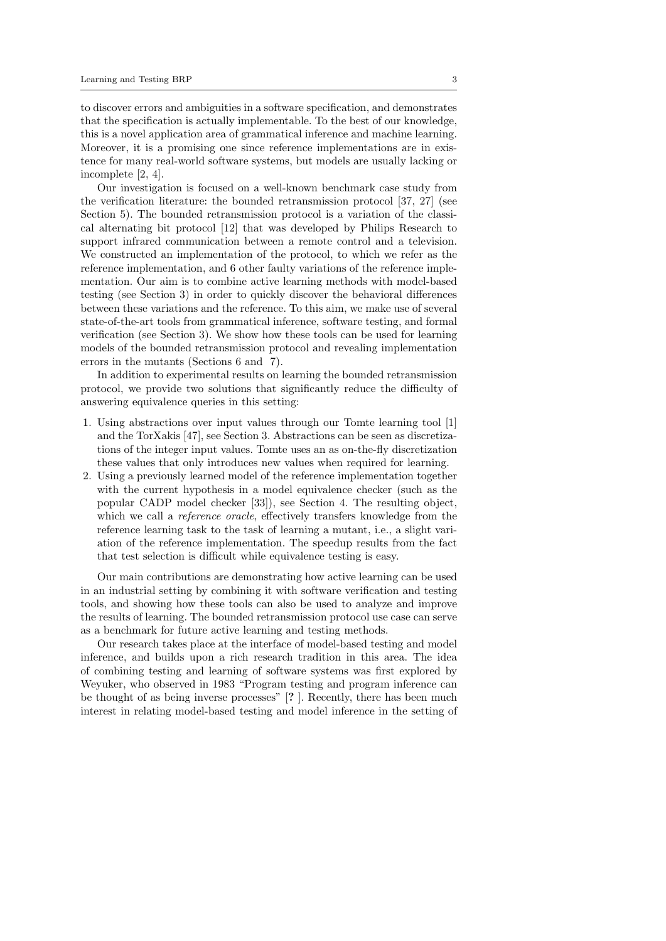to discover errors and ambiguities in a software specification, and demonstrates that the specification is actually implementable. To the best of our knowledge, this is a novel application area of grammatical inference and machine learning. Moreover, it is a promising one since reference implementations are in existence for many real-world software systems, but models are usually lacking or incomplete [2, 4].

Our investigation is focused on a well-known benchmark case study from the verification literature: the bounded retransmission protocol [37, 27] (see Section 5). The bounded retransmission protocol is a variation of the classical alternating bit protocol [12] that was developed by Philips Research to support infrared communication between a remote control and a television. We constructed an implementation of the protocol, to which we refer as the reference implementation, and 6 other faulty variations of the reference implementation. Our aim is to combine active learning methods with model-based testing (see Section 3) in order to quickly discover the behavioral differences between these variations and the reference. To this aim, we make use of several state-of-the-art tools from grammatical inference, software testing, and formal verification (see Section 3). We show how these tools can be used for learning models of the bounded retransmission protocol and revealing implementation errors in the mutants (Sections 6 and 7).

In addition to experimental results on learning the bounded retransmission protocol, we provide two solutions that significantly reduce the difficulty of answering equivalence queries in this setting:

- 1. Using abstractions over input values through our Tomte learning tool [1] and the TorXakis [47], see Section 3. Abstractions can be seen as discretizations of the integer input values. Tomte uses an as on-the-fly discretization these values that only introduces new values when required for learning.
- 2. Using a previously learned model of the reference implementation together with the current hypothesis in a model equivalence checker (such as the popular CADP model checker [33]), see Section 4. The resulting object, which we call a *reference oracle*, effectively transfers knowledge from the reference learning task to the task of learning a mutant, i.e., a slight variation of the reference implementation. The speedup results from the fact that test selection is difficult while equivalence testing is easy.

Our main contributions are demonstrating how active learning can be used in an industrial setting by combining it with software verification and testing tools, and showing how these tools can also be used to analyze and improve the results of learning. The bounded retransmission protocol use case can serve as a benchmark for future active learning and testing methods.

Our research takes place at the interface of model-based testing and model inference, and builds upon a rich research tradition in this area. The idea of combining testing and learning of software systems was first explored by Weyuker, who observed in 1983 "Program testing and program inference can be thought of as being inverse processes" [? ]. Recently, there has been much interest in relating model-based testing and model inference in the setting of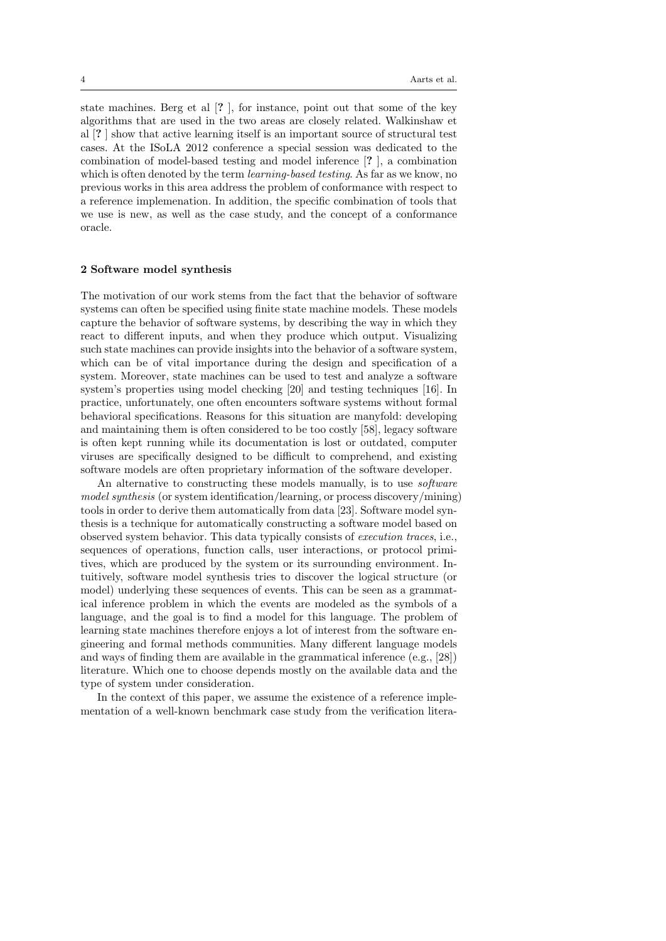state machines. Berg et al [? ], for instance, point out that some of the key algorithms that are used in the two areas are closely related. Walkinshaw et al [? ] show that active learning itself is an important source of structural test cases. At the ISoLA 2012 conference a special session was dedicated to the combination of model-based testing and model inference [? ], a combination which is often denoted by the term *learning-based testing*. As far as we know, no previous works in this area address the problem of conformance with respect to a reference implemenation. In addition, the specific combination of tools that we use is new, as well as the case study, and the concept of a conformance oracle.

# 2 Software model synthesis

The motivation of our work stems from the fact that the behavior of software systems can often be specified using finite state machine models. These models capture the behavior of software systems, by describing the way in which they react to different inputs, and when they produce which output. Visualizing such state machines can provide insights into the behavior of a software system, which can be of vital importance during the design and specification of a system. Moreover, state machines can be used to test and analyze a software system's properties using model checking [20] and testing techniques [16]. In practice, unfortunately, one often encounters software systems without formal behavioral specifications. Reasons for this situation are manyfold: developing and maintaining them is often considered to be too costly [58], legacy software is often kept running while its documentation is lost or outdated, computer viruses are specifically designed to be difficult to comprehend, and existing software models are often proprietary information of the software developer.

An alternative to constructing these models manually, is to use software model synthesis (or system identification/learning, or process discovery/mining) tools in order to derive them automatically from data [23]. Software model synthesis is a technique for automatically constructing a software model based on observed system behavior. This data typically consists of execution traces, i.e., sequences of operations, function calls, user interactions, or protocol primitives, which are produced by the system or its surrounding environment. Intuitively, software model synthesis tries to discover the logical structure (or model) underlying these sequences of events. This can be seen as a grammatical inference problem in which the events are modeled as the symbols of a language, and the goal is to find a model for this language. The problem of learning state machines therefore enjoys a lot of interest from the software engineering and formal methods communities. Many different language models and ways of finding them are available in the grammatical inference (e.g., [28]) literature. Which one to choose depends mostly on the available data and the type of system under consideration.

In the context of this paper, we assume the existence of a reference implementation of a well-known benchmark case study from the verification litera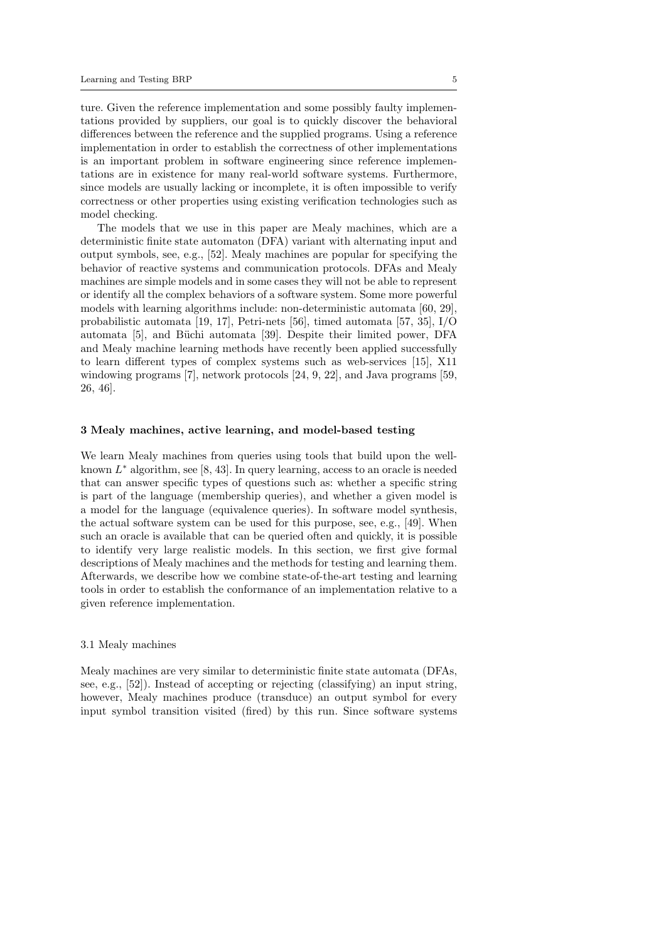ture. Given the reference implementation and some possibly faulty implementations provided by suppliers, our goal is to quickly discover the behavioral differences between the reference and the supplied programs. Using a reference implementation in order to establish the correctness of other implementations is an important problem in software engineering since reference implementations are in existence for many real-world software systems. Furthermore, since models are usually lacking or incomplete, it is often impossible to verify correctness or other properties using existing verification technologies such as model checking.

The models that we use in this paper are Mealy machines, which are a deterministic finite state automaton (DFA) variant with alternating input and output symbols, see, e.g., [52]. Mealy machines are popular for specifying the behavior of reactive systems and communication protocols. DFAs and Mealy machines are simple models and in some cases they will not be able to represent or identify all the complex behaviors of a software system. Some more powerful models with learning algorithms include: non-deterministic automata [60, 29], probabilistic automata [19, 17], Petri-nets [56], timed automata [57, 35], I/O automata [5], and Büchi automata [39]. Despite their limited power, DFA and Mealy machine learning methods have recently been applied successfully to learn different types of complex systems such as web-services [15], X11 windowing programs [7], network protocols [24, 9, 22], and Java programs [59, 26, 46].

## 3 Mealy machines, active learning, and model-based testing

We learn Mealy machines from queries using tools that build upon the wellknown  $L^*$  algorithm, see  $[8, 43]$ . In query learning, access to an oracle is needed that can answer specific types of questions such as: whether a specific string is part of the language (membership queries), and whether a given model is a model for the language (equivalence queries). In software model synthesis, the actual software system can be used for this purpose, see, e.g., [49]. When such an oracle is available that can be queried often and quickly, it is possible to identify very large realistic models. In this section, we first give formal descriptions of Mealy machines and the methods for testing and learning them. Afterwards, we describe how we combine state-of-the-art testing and learning tools in order to establish the conformance of an implementation relative to a given reference implementation.

#### 3.1 Mealy machines

Mealy machines are very similar to deterministic finite state automata (DFAs, see, e.g., [52]). Instead of accepting or rejecting (classifying) an input string, however, Mealy machines produce (transduce) an output symbol for every input symbol transition visited (fired) by this run. Since software systems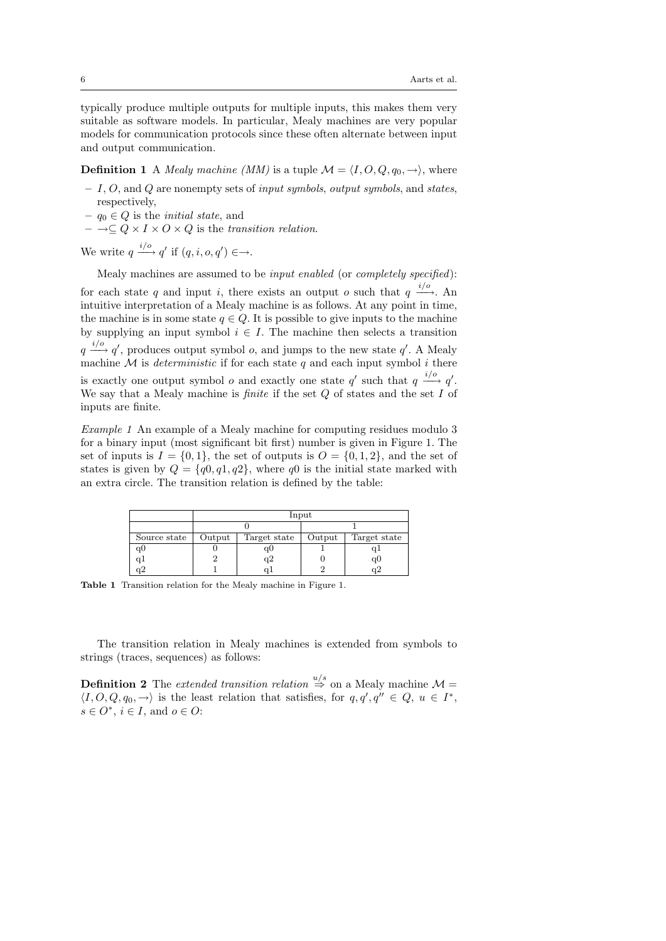typically produce multiple outputs for multiple inputs, this makes them very suitable as software models. In particular, Mealy machines are very popular models for communication protocols since these often alternate between input and output communication.

**Definition 1** A *Mealy machine (MM)* is a tuple  $\mathcal{M} = \langle I, O, Q, q_0, \rightarrow \rangle$ , where

- $I, O$ , and Q are nonempty sets of *input symbols*, *output symbols*, and *states*, respectively,
- $q_0 \in Q$  is the *initial state*, and
- $\to \subset Q \times I \times Q \times Q$  is the transition relation.

We write  $q \xrightarrow{i/o} q'$  if  $(q, i, o, q') \in \rightarrow$ .

Mealy machines are assumed to be input enabled (or completely specified):

for each state q and input i, there exists an output o such that  $q \stackrel{i/o}{\longrightarrow}$ . An intuitive interpretation of a Mealy machine is as follows. At any point in time, the machine is in some state  $q \in Q$ . It is possible to give inputs to the machine by supplying an input symbol  $i \in I$ . The machine then selects a transition  $q \stackrel{i/o}{\longrightarrow} q'$ , produces output symbol *o*, and jumps to the new state q'. A Mealy machine  $\overline{\mathcal{M}}$  is *deterministic* if for each state q and each input symbol i there is exactly one output symbol *o* and exactly one state  $q'$  such that  $q \stackrel{i/o}{\longrightarrow} q'$ . We say that a Mealy machine is *finite* if the set  $Q$  of states and the set  $I$  of inputs are finite.

Example 1 An example of a Mealy machine for computing residues modulo 3 for a binary input (most significant bit first) number is given in Figure 1. The set of inputs is  $I = \{0, 1\}$ , the set of outputs is  $O = \{0, 1, 2\}$ , and the set of states is given by  $Q = \{q0, q1, q2\}$ , where  $q0$  is the initial state marked with an extra circle. The transition relation is defined by the table:

|                |        | Input        |        |                 |  |  |  |  |
|----------------|--------|--------------|--------|-----------------|--|--|--|--|
|                |        |              |        |                 |  |  |  |  |
| Source state   | Output | Target state | Output | Target state    |  |  |  |  |
| q <sub>0</sub> |        | qU           |        | qı              |  |  |  |  |
| q1             |        | q2           |        | q <sub>0</sub>  |  |  |  |  |
| $q^2$          |        |              |        | $\rm\tilde{q}2$ |  |  |  |  |

Table 1 Transition relation for the Mealy machine in Figure 1.

The transition relation in Mealy machines is extended from symbols to strings (traces, sequences) as follows:

**Definition 2** The extended transition relation  $\stackrel{u/s}{\Rightarrow}$  on a Mealy machine  $\mathcal{M} =$  $\langle I, O, Q, q_0, \rightarrow \rangle$  is the least relation that satisfies, for  $q, q', q'' \in Q, u \in I^*$ ,  $s \in O^*, i \in I$ , and  $o \in O$ :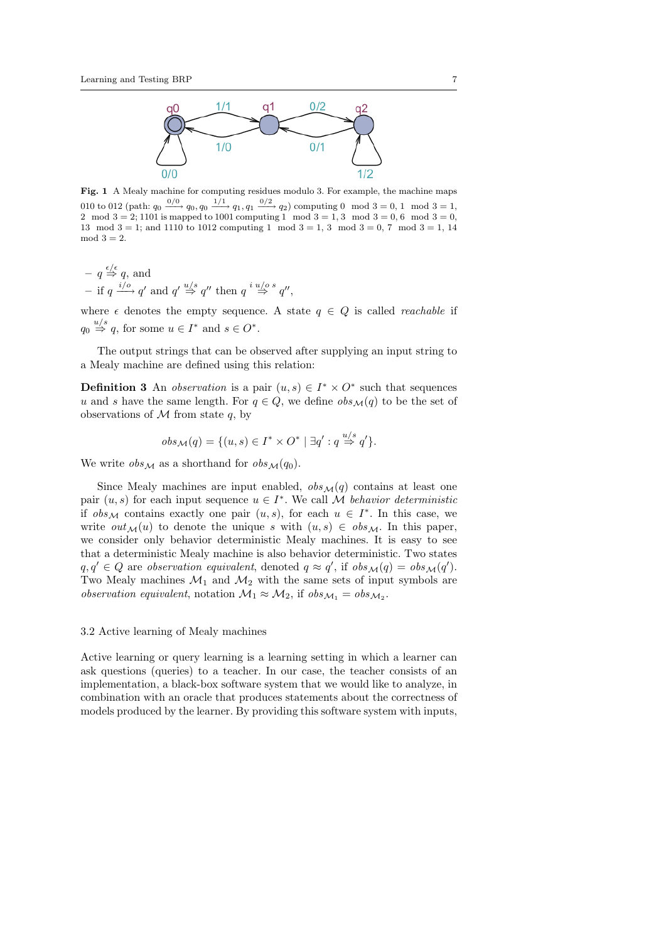

Fig. 1 A Mealy machine for computing residues modulo 3. For example, the machine maps 010 to 012 (path:  $q_0 \xrightarrow{0/0} q_0, q_0 \xrightarrow{1/1} q_1, q_1 \xrightarrow{0/2} q_2$ ) computing 0 mod 3 = 0, 1 mod 3 = 1, 2 mod  $3 = 2$ ; 1101 is mapped to 1001 computing 1 mod  $3 = 1, 3$  mod  $3 = 0, 6$  mod  $3 = 0$ , 13 mod  $3 = 1$ ; and 1110 to 1012 computing 1 mod  $3 = 1, 3 \mod 3 = 0, 7 \mod 3 = 1, 14$  $mod 3 = 2.$ 

 $- q \stackrel{\epsilon/\epsilon}{\Rightarrow} q$ , and − if  $q \stackrel{i/o}{\longrightarrow} q'$  and  $q' \stackrel{u/s}{\Rightarrow} q''$  then  $q \stackrel{i u/o s}{\Rightarrow} q''$ ,

where  $\epsilon$  denotes the empty sequence. A state  $q \in Q$  is called *reachable* if  $q_0 \stackrel{u/s}{\Rightarrow} q$ , for some  $u \in I^*$  and  $s \in O^*$ .

The output strings that can be observed after supplying an input string to a Mealy machine are defined using this relation:

**Definition 3** An *observation* is a pair  $(u, s) \in I^* \times O^*$  such that sequences u and s have the same length. For  $q \in Q$ , we define  $obs_{\mathcal{M}}(q)$  to be the set of observations of  $M$  from state  $q$ , by

$$
obs_{\mathcal{M}}(q) = \{ (u, s) \in I^* \times O^* \mid \exists q' : q \stackrel{u/s}{\Rightarrow} q' \}.
$$

We write  $obs_{\mathcal{M}}$  as a shorthand for  $obs_{\mathcal{M}}(q_0)$ .

Since Mealy machines are input enabled,  $obs_{\mathcal{M}}(q)$  contains at least one pair  $(u, s)$  for each input sequence  $u \in I^*$ . We call M behavior deterministic if  $obs_{\mathcal{M}}$  contains exactly one pair  $(u, s)$ , for each  $u \in I^*$ . In this case, we write  $out_{\mathcal{M}}(u)$  to denote the unique s with  $(u, s) \in obs_{\mathcal{M}}$ . In this paper, we consider only behavior deterministic Mealy machines. It is easy to see that a deterministic Mealy machine is also behavior deterministic. Two states  $q, q' \in Q$  are observation equivalent, denoted  $q \approx q'$ , if  $obs_{\mathcal{M}}(q) = obs_{\mathcal{M}}(q')$ . Two Mealy machines  $\mathcal{M}_1$  and  $\mathcal{M}_2$  with the same sets of input symbols are observation equivalent, notation  $\mathcal{M}_1 \approx \mathcal{M}_2$ , if  $obs_{\mathcal{M}_1} = obs_{\mathcal{M}_2}$ .

## 3.2 Active learning of Mealy machines

Active learning or query learning is a learning setting in which a learner can ask questions (queries) to a teacher. In our case, the teacher consists of an implementation, a black-box software system that we would like to analyze, in combination with an oracle that produces statements about the correctness of models produced by the learner. By providing this software system with inputs,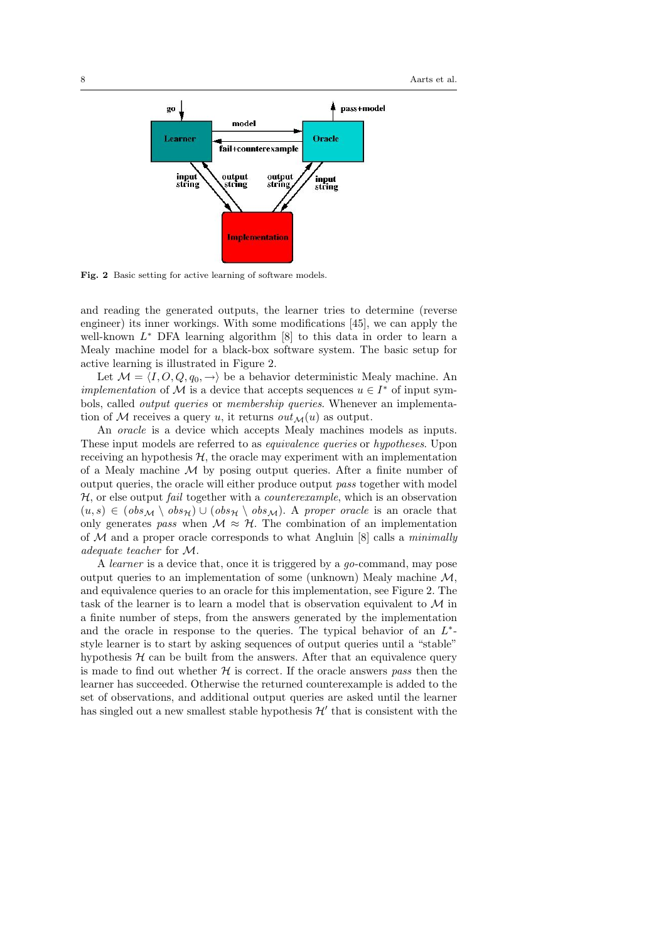

Fig. 2 Basic setting for active learning of software models.

and reading the generated outputs, the learner tries to determine (reverse engineer) its inner workings. With some modifications [45], we can apply the well-known  $L^*$  DFA learning algorithm  $[8]$  to this data in order to learn a Mealy machine model for a black-box software system. The basic setup for active learning is illustrated in Figure 2.

Let  $\mathcal{M} = \langle I, O, Q, q_0, \rightarrow \rangle$  be a behavior deterministic Mealy machine. An *implementation* of M is a device that accepts sequences  $u \in I^*$  of input symbols, called output queries or membership queries. Whenever an implementation of M receives a query u, it returns  $out_{\mathcal{M}}(u)$  as output.

An *oracle* is a device which accepts Mealy machines models as inputs. These input models are referred to as equivalence queries or hypotheses. Upon receiving an hypothesis  $H$ , the oracle may experiment with an implementation of a Mealy machine  $M$  by posing output queries. After a finite number of output queries, the oracle will either produce output pass together with model  $H$ , or else output *fail* together with a *counterexample*, which is an observation  $(u, s) \in (obs_{\mathcal{M}} \setminus obs_{\mathcal{H}}) \cup (obs_{\mathcal{H}} \setminus obs_{\mathcal{M}})$ . A proper oracle is an oracle that only generates pass when  $M \approx H$ . The combination of an implementation of  $M$  and a proper oracle corresponds to what Angluin [8] calls a *minimally* adequate teacher for M.

A learner is a device that, once it is triggered by a go-command, may pose output queries to an implementation of some (unknown) Mealy machine  $\mathcal{M}$ , and equivalence queries to an oracle for this implementation, see Figure 2. The task of the learner is to learn a model that is observation equivalent to M in a finite number of steps, from the answers generated by the implementation and the oracle in response to the queries. The typical behavior of an  $L^*$ style learner is to start by asking sequences of output queries until a "stable" hypothesis  $H$  can be built from the answers. After that an equivalence query is made to find out whether  $H$  is correct. If the oracle answers pass then the learner has succeeded. Otherwise the returned counterexample is added to the set of observations, and additional output queries are asked until the learner has singled out a new smallest stable hypothesis  $\mathcal{H}'$  that is consistent with the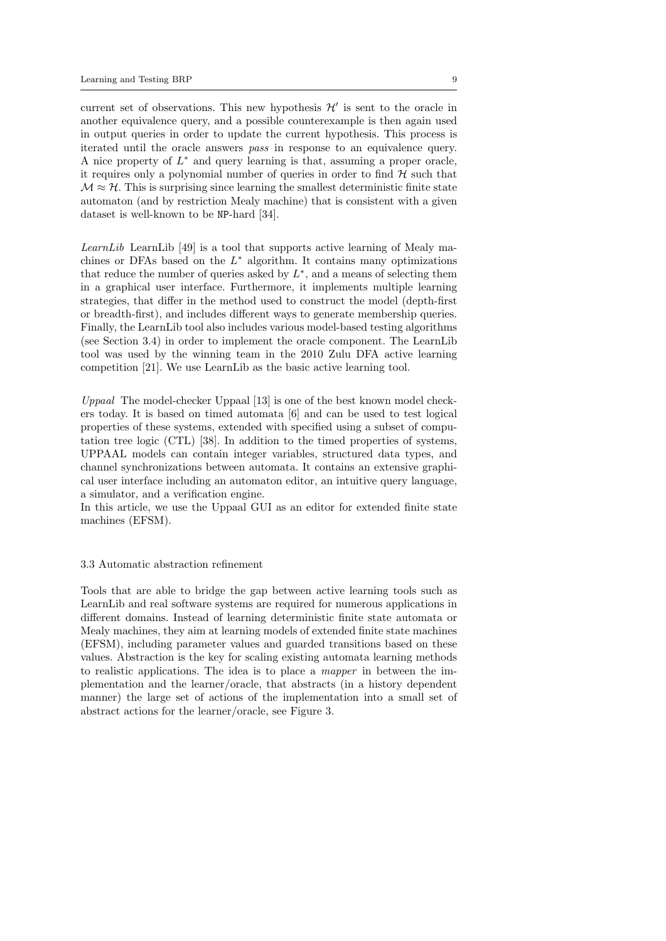current set of observations. This new hypothesis  $\mathcal{H}'$  is sent to the oracle in another equivalence query, and a possible counterexample is then again used in output queries in order to update the current hypothesis. This process is iterated until the oracle answers pass in response to an equivalence query. A nice property of  $L^*$  and query learning is that, assuming a proper oracle, it requires only a polynomial number of queries in order to find  $\mathcal H$  such that  $\mathcal{M} \approx \mathcal{H}$ . This is surprising since learning the smallest deterministic finite state automaton (and by restriction Mealy machine) that is consistent with a given dataset is well-known to be NP-hard [34].

LearnLib LearnLib  $[49]$  is a tool that supports active learning of Mealy machines or DFAs based on the  $L^*$  algorithm. It contains many optimizations that reduce the number of queries asked by  $L^*$ , and a means of selecting them in a graphical user interface. Furthermore, it implements multiple learning strategies, that differ in the method used to construct the model (depth-first or breadth-first), and includes different ways to generate membership queries. Finally, the LearnLib tool also includes various model-based testing algorithms (see Section 3.4) in order to implement the oracle component. The LearnLib tool was used by the winning team in the 2010 Zulu DFA active learning competition [21]. We use LearnLib as the basic active learning tool.

Uppaal The model-checker Uppaal [13] is one of the best known model checkers today. It is based on timed automata [6] and can be used to test logical properties of these systems, extended with specified using a subset of computation tree logic (CTL) [38]. In addition to the timed properties of systems, UPPAAL models can contain integer variables, structured data types, and channel synchronizations between automata. It contains an extensive graphical user interface including an automaton editor, an intuitive query language, a simulator, and a verification engine.

In this article, we use the Uppaal GUI as an editor for extended finite state machines (EFSM).

## 3.3 Automatic abstraction refinement

Tools that are able to bridge the gap between active learning tools such as LearnLib and real software systems are required for numerous applications in different domains. Instead of learning deterministic finite state automata or Mealy machines, they aim at learning models of extended finite state machines (EFSM), including parameter values and guarded transitions based on these values. Abstraction is the key for scaling existing automata learning methods to realistic applications. The idea is to place a mapper in between the implementation and the learner/oracle, that abstracts (in a history dependent manner) the large set of actions of the implementation into a small set of abstract actions for the learner/oracle, see Figure 3.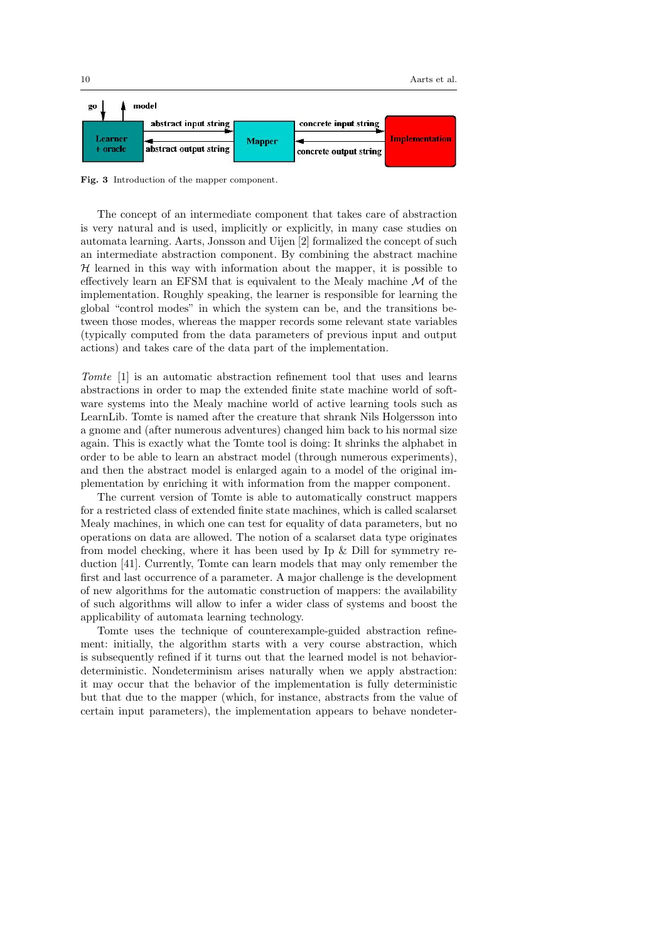

Fig. 3 Introduction of the mapper component.

The concept of an intermediate component that takes care of abstraction is very natural and is used, implicitly or explicitly, in many case studies on automata learning. Aarts, Jonsson and Uijen [2] formalized the concept of such an intermediate abstraction component. By combining the abstract machine  $H$  learned in this way with information about the mapper, it is possible to effectively learn an EFSM that is equivalent to the Mealy machine  $M$  of the implementation. Roughly speaking, the learner is responsible for learning the global "control modes" in which the system can be, and the transitions between those modes, whereas the mapper records some relevant state variables (typically computed from the data parameters of previous input and output actions) and takes care of the data part of the implementation.

Tomte [1] is an automatic abstraction refinement tool that uses and learns abstractions in order to map the extended finite state machine world of software systems into the Mealy machine world of active learning tools such as LearnLib. Tomte is named after the creature that shrank Nils Holgersson into a gnome and (after numerous adventures) changed him back to his normal size again. This is exactly what the Tomte tool is doing: It shrinks the alphabet in order to be able to learn an abstract model (through numerous experiments), and then the abstract model is enlarged again to a model of the original implementation by enriching it with information from the mapper component.

The current version of Tomte is able to automatically construct mappers for a restricted class of extended finite state machines, which is called scalarset Mealy machines, in which one can test for equality of data parameters, but no operations on data are allowed. The notion of a scalarset data type originates from model checking, where it has been used by Ip & Dill for symmetry reduction [41]. Currently, Tomte can learn models that may only remember the first and last occurrence of a parameter. A major challenge is the development of new algorithms for the automatic construction of mappers: the availability of such algorithms will allow to infer a wider class of systems and boost the applicability of automata learning technology.

Tomte uses the technique of counterexample-guided abstraction refinement: initially, the algorithm starts with a very course abstraction, which is subsequently refined if it turns out that the learned model is not behaviordeterministic. Nondeterminism arises naturally when we apply abstraction: it may occur that the behavior of the implementation is fully deterministic but that due to the mapper (which, for instance, abstracts from the value of certain input parameters), the implementation appears to behave nondeter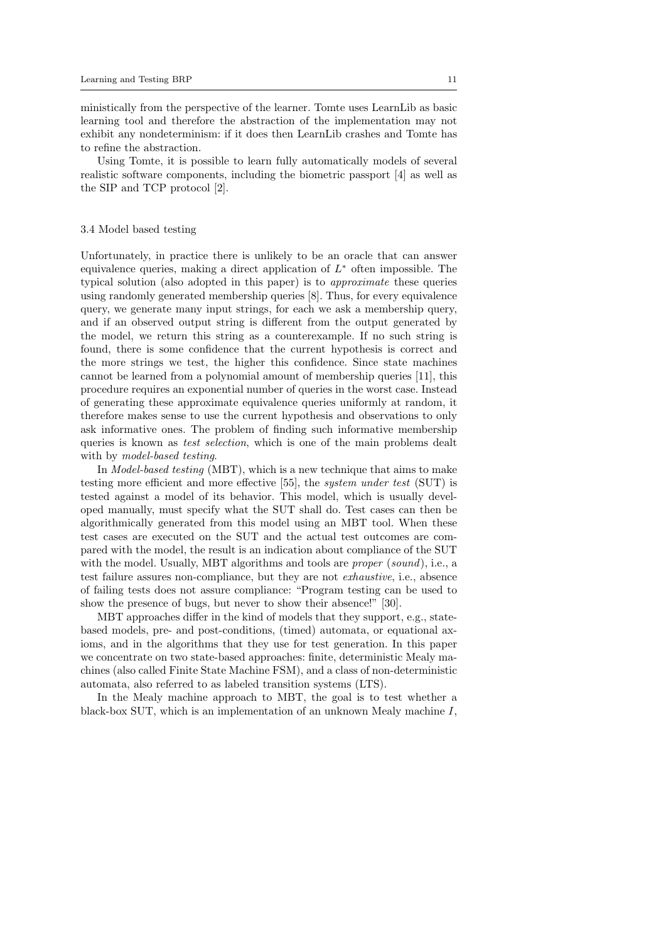ministically from the perspective of the learner. Tomte uses LearnLib as basic learning tool and therefore the abstraction of the implementation may not exhibit any nondeterminism: if it does then LearnLib crashes and Tomte has to refine the abstraction.

Using Tomte, it is possible to learn fully automatically models of several realistic software components, including the biometric passport [4] as well as the SIP and TCP protocol [2].

# 3.4 Model based testing

Unfortunately, in practice there is unlikely to be an oracle that can answer equivalence queries, making a direct application of  $L^*$  often impossible. The typical solution (also adopted in this paper) is to approximate these queries using randomly generated membership queries [8]. Thus, for every equivalence query, we generate many input strings, for each we ask a membership query, and if an observed output string is different from the output generated by the model, we return this string as a counterexample. If no such string is found, there is some confidence that the current hypothesis is correct and the more strings we test, the higher this confidence. Since state machines cannot be learned from a polynomial amount of membership queries [11], this procedure requires an exponential number of queries in the worst case. Instead of generating these approximate equivalence queries uniformly at random, it therefore makes sense to use the current hypothesis and observations to only ask informative ones. The problem of finding such informative membership queries is known as test selection, which is one of the main problems dealt with by model-based testing.

In Model-based testing (MBT), which is a new technique that aims to make testing more efficient and more effective [55], the system under test (SUT) is tested against a model of its behavior. This model, which is usually developed manually, must specify what the SUT shall do. Test cases can then be algorithmically generated from this model using an MBT tool. When these test cases are executed on the SUT and the actual test outcomes are compared with the model, the result is an indication about compliance of the SUT with the model. Usually, MBT algorithms and tools are *proper* (sound), i.e., a test failure assures non-compliance, but they are not exhaustive, i.e., absence of failing tests does not assure compliance: "Program testing can be used to show the presence of bugs, but never to show their absence!" [30].

MBT approaches differ in the kind of models that they support, e.g., statebased models, pre- and post-conditions, (timed) automata, or equational axioms, and in the algorithms that they use for test generation. In this paper we concentrate on two state-based approaches: finite, deterministic Mealy machines (also called Finite State Machine FSM), and a class of non-deterministic automata, also referred to as labeled transition systems (LTS).

In the Mealy machine approach to MBT, the goal is to test whether a black-box SUT, which is an implementation of an unknown Mealy machine I,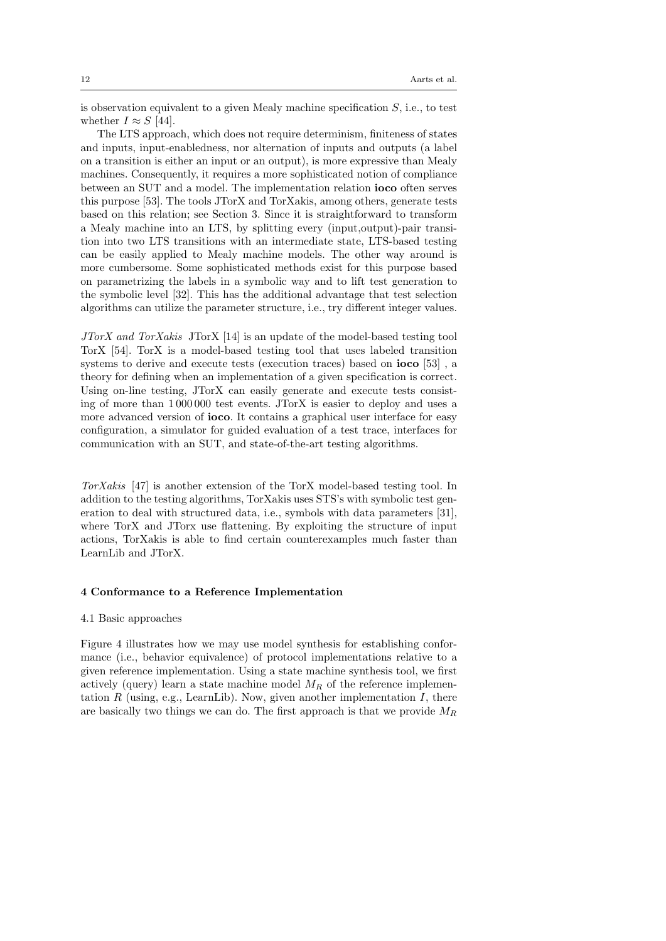is observation equivalent to a given Mealy machine specification S, i.e., to test whether  $I \approx S$  [44].

The LTS approach, which does not require determinism, finiteness of states and inputs, input-enabledness, nor alternation of inputs and outputs (a label on a transition is either an input or an output), is more expressive than Mealy machines. Consequently, it requires a more sophisticated notion of compliance between an SUT and a model. The implementation relation ioco often serves this purpose [53]. The tools JTorX and TorXakis, among others, generate tests based on this relation; see Section 3. Since it is straightforward to transform a Mealy machine into an LTS, by splitting every (input,output)-pair transition into two LTS transitions with an intermediate state, LTS-based testing can be easily applied to Mealy machine models. The other way around is more cumbersome. Some sophisticated methods exist for this purpose based on parametrizing the labels in a symbolic way and to lift test generation to the symbolic level [32]. This has the additional advantage that test selection algorithms can utilize the parameter structure, i.e., try different integer values.

JTorX and TorXakis JTorX [14] is an update of the model-based testing tool TorX [54]. TorX is a model-based testing tool that uses labeled transition systems to derive and execute tests (execution traces) based on ioco [53] , a theory for defining when an implementation of a given specification is correct. Using on-line testing, JTorX can easily generate and execute tests consisting of more than 1 000 000 test events. JTorX is easier to deploy and uses a more advanced version of ioco. It contains a graphical user interface for easy configuration, a simulator for guided evaluation of a test trace, interfaces for communication with an SUT, and state-of-the-art testing algorithms.

TorXakis [47] is another extension of the TorX model-based testing tool. In addition to the testing algorithms, TorXakis uses STS's with symbolic test generation to deal with structured data, i.e., symbols with data parameters [31], where TorX and JTorx use flattening. By exploiting the structure of input actions, TorXakis is able to find certain counterexamples much faster than LearnLib and JTorX.

# 4 Conformance to a Reference Implementation

# 4.1 Basic approaches

Figure 4 illustrates how we may use model synthesis for establishing conformance (i.e., behavior equivalence) of protocol implementations relative to a given reference implementation. Using a state machine synthesis tool, we first actively (query) learn a state machine model  $M_R$  of the reference implementation  $R$  (using, e.g., LearnLib). Now, given another implementation  $I$ , there are basically two things we can do. The first approach is that we provide  $M_R$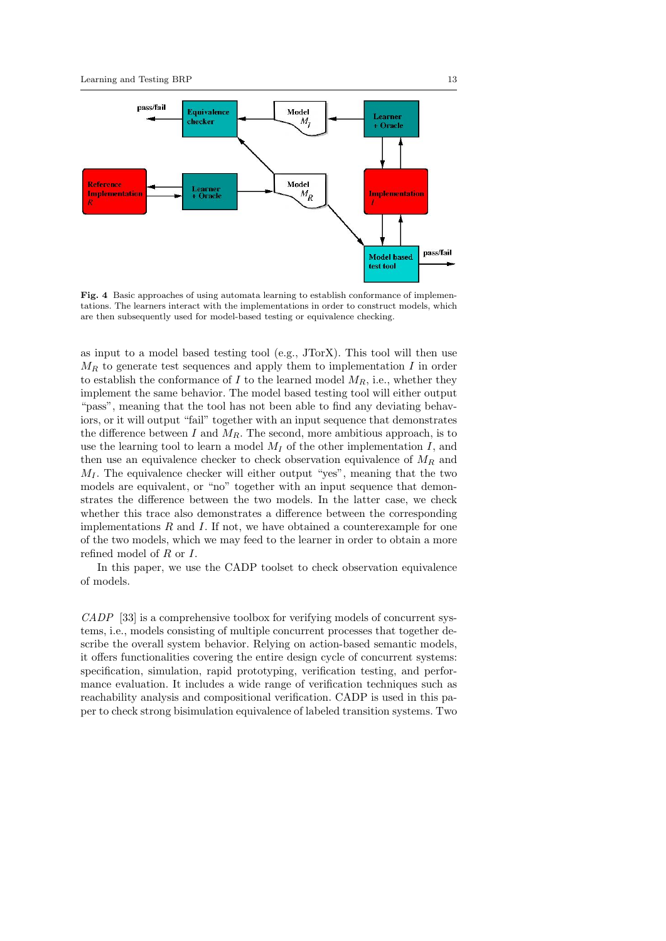

Fig. 4 Basic approaches of using automata learning to establish conformance of implementations. The learners interact with the implementations in order to construct models, which are then subsequently used for model-based testing or equivalence checking.

as input to a model based testing tool (e.g., JTorX). This tool will then use  $M_R$  to generate test sequences and apply them to implementation I in order to establish the conformance of  $I$  to the learned model  $M_R$ , i.e., whether they implement the same behavior. The model based testing tool will either output "pass", meaning that the tool has not been able to find any deviating behaviors, or it will output "fail" together with an input sequence that demonstrates the difference between  $I$  and  $M_R$ . The second, more ambitious approach, is to use the learning tool to learn a model  $M_I$  of the other implementation I, and then use an equivalence checker to check observation equivalence of  $M_R$  and  $M_I$ . The equivalence checker will either output "yes", meaning that the two models are equivalent, or "no" together with an input sequence that demonstrates the difference between the two models. In the latter case, we check whether this trace also demonstrates a difference between the corresponding implementations  $R$  and  $I$ . If not, we have obtained a counterexample for one of the two models, which we may feed to the learner in order to obtain a more refined model of  $R$  or  $I$ .

In this paper, we use the CADP toolset to check observation equivalence of models.

CADP [33] is a comprehensive toolbox for verifying models of concurrent systems, i.e., models consisting of multiple concurrent processes that together describe the overall system behavior. Relying on action-based semantic models, it offers functionalities covering the entire design cycle of concurrent systems: specification, simulation, rapid prototyping, verification testing, and performance evaluation. It includes a wide range of verification techniques such as reachability analysis and compositional verification. CADP is used in this paper to check strong bisimulation equivalence of labeled transition systems. Two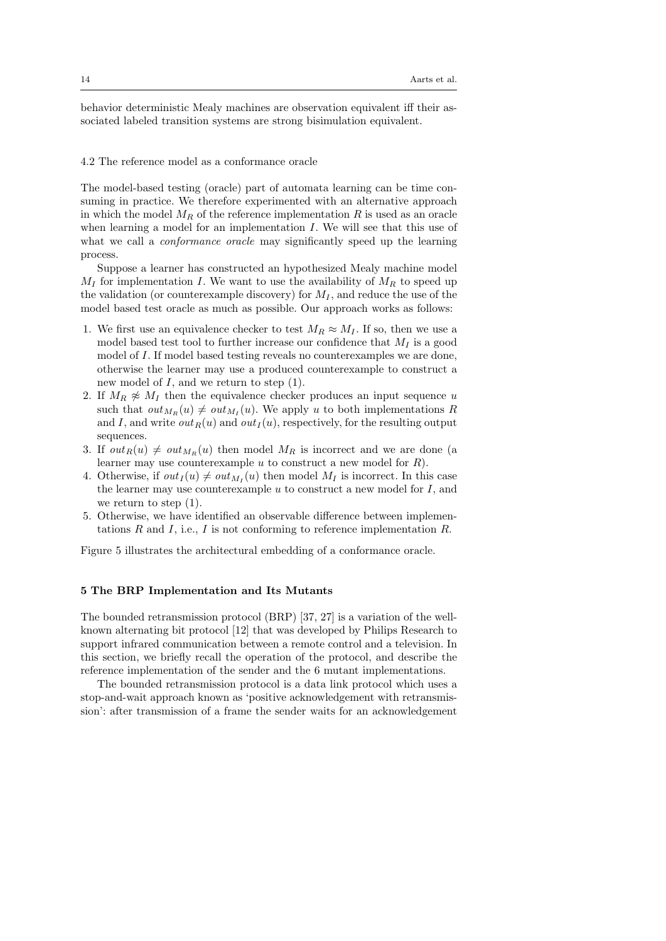behavior deterministic Mealy machines are observation equivalent iff their associated labeled transition systems are strong bisimulation equivalent.

### 4.2 The reference model as a conformance oracle

The model-based testing (oracle) part of automata learning can be time consuming in practice. We therefore experimented with an alternative approach in which the model  $M_R$  of the reference implementation R is used as an oracle when learning a model for an implementation  $I$ . We will see that this use of what we call a *conformance oracle* may significantly speed up the learning process.

Suppose a learner has constructed an hypothesized Mealy machine model  $M_I$  for implementation I. We want to use the availability of  $M_R$  to speed up the validation (or counterexample discovery) for  $M_I$ , and reduce the use of the model based test oracle as much as possible. Our approach works as follows:

- 1. We first use an equivalence checker to test  $M_R \approx M_I$ . If so, then we use a model based test tool to further increase our confidence that  $M_I$  is a good model of I. If model based testing reveals no counterexamples we are done, otherwise the learner may use a produced counterexample to construct a new model of  $I$ , and we return to step  $(1)$ .
- 2. If  $M_R \not\approx M_I$  then the equivalence checker produces an input sequence u such that  $out_{M_R}(u) \neq out_{M_I}(u)$ . We apply u to both implementations R and I, and write  $out_R(u)$  and  $out_I(u)$ , respectively, for the resulting output sequences.
- 3. If  $out_R(u) \neq out_{M_R}(u)$  then model  $M_R$  is incorrect and we are done (a learner may use counterexample u to construct a new model for R).
- 4. Otherwise, if  $out_I(u) \neq out_{M_I}(u)$  then model  $M_I$  is incorrect. In this case the learner may use counterexample  $u$  to construct a new model for  $I$ , and we return to step  $(1)$ .
- 5. Otherwise, we have identified an observable difference between implementations R and I, i.e., I is not conforming to reference implementation R.

Figure 5 illustrates the architectural embedding of a conformance oracle.

# 5 The BRP Implementation and Its Mutants

The bounded retransmission protocol (BRP) [37, 27] is a variation of the wellknown alternating bit protocol [12] that was developed by Philips Research to support infrared communication between a remote control and a television. In this section, we briefly recall the operation of the protocol, and describe the reference implementation of the sender and the 6 mutant implementations.

The bounded retransmission protocol is a data link protocol which uses a stop-and-wait approach known as 'positive acknowledgement with retransmission': after transmission of a frame the sender waits for an acknowledgement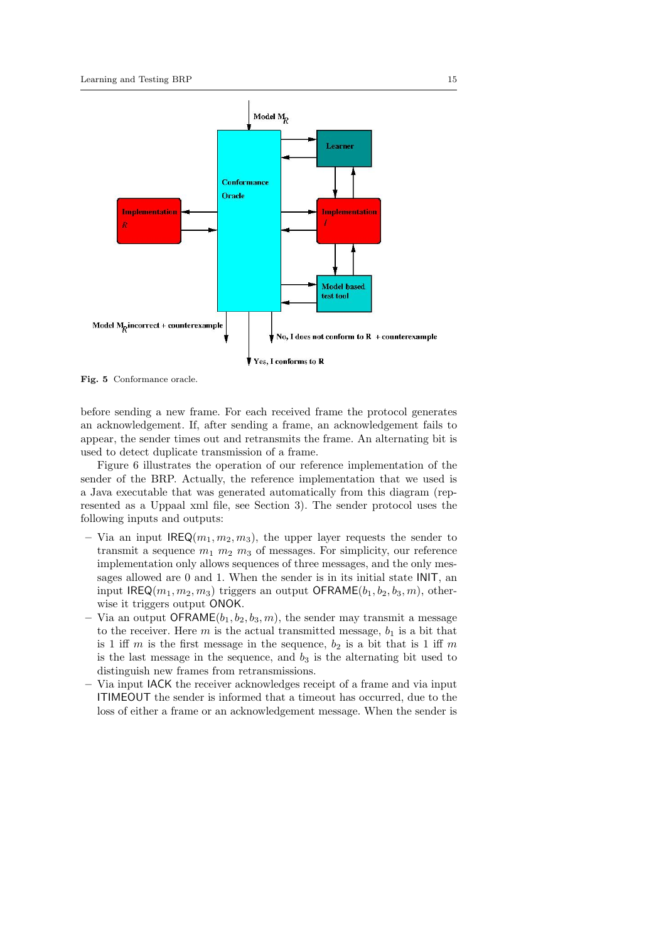

Fig. 5 Conformance oracle.

before sending a new frame. For each received frame the protocol generates an acknowledgement. If, after sending a frame, an acknowledgement fails to appear, the sender times out and retransmits the frame. An alternating bit is used to detect duplicate transmission of a frame.

Figure 6 illustrates the operation of our reference implementation of the sender of the BRP. Actually, the reference implementation that we used is a Java executable that was generated automatically from this diagram (represented as a Uppaal xml file, see Section 3). The sender protocol uses the following inputs and outputs:

- Via an input  $\text{IREQ}(m_1, m_2, m_3)$ , the upper layer requests the sender to transmit a sequence  $m_1$   $m_2$   $m_3$  of messages. For simplicity, our reference implementation only allows sequences of three messages, and the only messages allowed are 0 and 1. When the sender is in its initial state INIT, an input IREQ( $m_1, m_2, m_3$ ) triggers an output OFRAME( $b_1, b_2, b_3, m$ ), otherwise it triggers output ONOK.
- Via an output OFRAME $(b_1, b_2, b_3, m)$ , the sender may transmit a message to the receiver. Here  $m$  is the actual transmitted message,  $b_1$  is a bit that is 1 iff m is the first message in the sequence,  $b_2$  is a bit that is 1 iff m is the last message in the sequence, and  $b_3$  is the alternating bit used to distinguish new frames from retransmissions.
- Via input IACK the receiver acknowledges receipt of a frame and via input ITIMEOUT the sender is informed that a timeout has occurred, due to the loss of either a frame or an acknowledgement message. When the sender is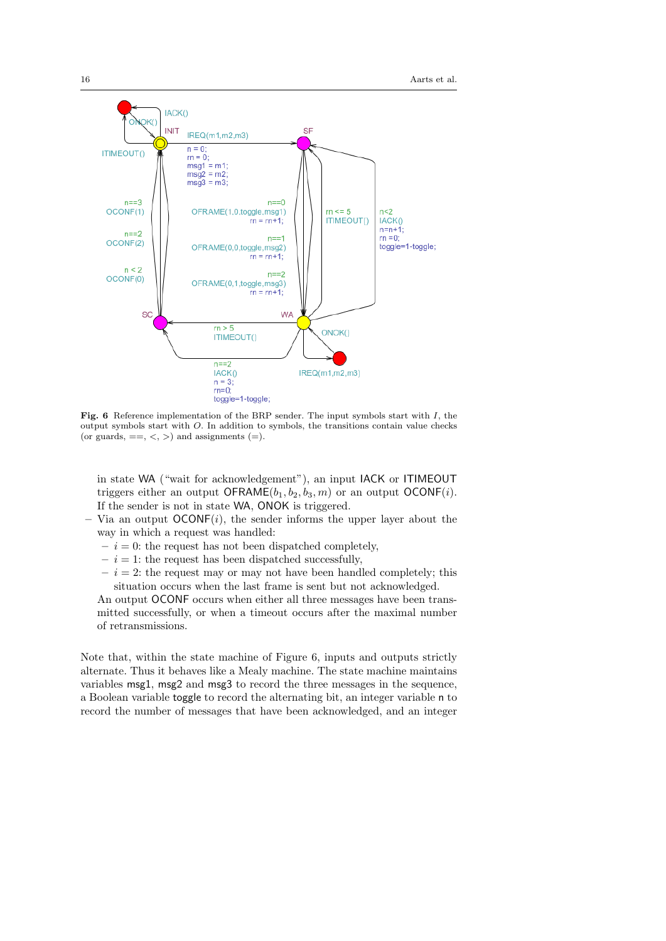

Fig. 6 Reference implementation of the BRP sender. The input symbols start with I, the output symbols start with O. In addition to symbols, the transitions contain value checks (or guards,  $==, <, >$ ) and assignments  $(=).$ 

in state WA ("wait for acknowledgement"), an input IACK or ITIMEOUT triggers either an output OFRAME $(b_1, b_2, b_3, m)$  or an output OCONF $(i)$ . If the sender is not in state WA, ONOK is triggered.

- Via an output  $OCONF(i)$ , the sender informs the upper layer about the way in which a request was handled:
	- $i = 0$ : the request has not been dispatched completely,
	- $i = 1$ : the request has been dispatched successfully,
	- $i = 2$ : the request may or may not have been handled completely; this situation occurs when the last frame is sent but not acknowledged.

An output OCONF occurs when either all three messages have been transmitted successfully, or when a timeout occurs after the maximal number of retransmissions.

Note that, within the state machine of Figure 6, inputs and outputs strictly alternate. Thus it behaves like a Mealy machine. The state machine maintains variables msg1, msg2 and msg3 to record the three messages in the sequence, a Boolean variable toggle to record the alternating bit, an integer variable n to record the number of messages that have been acknowledged, and an integer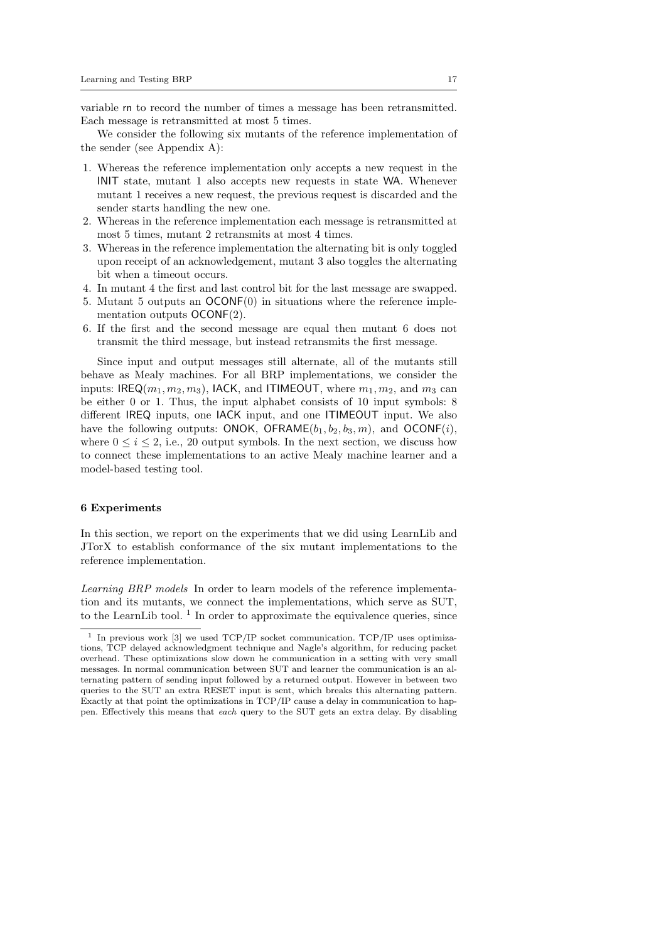variable rn to record the number of times a message has been retransmitted. Each message is retransmitted at most 5 times.

We consider the following six mutants of the reference implementation of the sender (see Appendix A):

- 1. Whereas the reference implementation only accepts a new request in the INIT state, mutant 1 also accepts new requests in state WA. Whenever mutant 1 receives a new request, the previous request is discarded and the sender starts handling the new one.
- 2. Whereas in the reference implementation each message is retransmitted at most 5 times, mutant 2 retransmits at most 4 times.
- 3. Whereas in the reference implementation the alternating bit is only toggled upon receipt of an acknowledgement, mutant 3 also toggles the alternating bit when a timeout occurs.
- 4. In mutant 4 the first and last control bit for the last message are swapped.
- 5. Mutant 5 outputs an OCONF(0) in situations where the reference implementation outputs OCONF(2).
- 6. If the first and the second message are equal then mutant 6 does not transmit the third message, but instead retransmits the first message.

Since input and output messages still alternate, all of the mutants still behave as Mealy machines. For all BRP implementations, we consider the inputs: IREQ( $m_1, m_2, m_3$ ), IACK, and ITIMEOUT, where  $m_1, m_2$ , and  $m_3$  can be either 0 or 1. Thus, the input alphabet consists of 10 input symbols: 8 different IREQ inputs, one IACK input, and one ITIMEOUT input. We also have the following outputs: ONOK, OFRAME $(b_1, b_2, b_3, m)$ , and OCONF $(i)$ , where  $0 \leq i \leq 2$ , i.e., 20 output symbols. In the next section, we discuss how to connect these implementations to an active Mealy machine learner and a model-based testing tool.

# 6 Experiments

In this section, we report on the experiments that we did using LearnLib and JTorX to establish conformance of the six mutant implementations to the reference implementation.

Learning BRP models In order to learn models of the reference implementation and its mutants, we connect the implementations, which serve as SUT, to the LearnLib tool.<sup>1</sup> In order to approximate the equivalence queries, since

<sup>1</sup> In previous work [3] we used TCP/IP socket communication. TCP/IP uses optimizations, TCP delayed acknowledgment technique and Nagle's algorithm, for reducing packet overhead. These optimizations slow down he communication in a setting with very small messages. In normal communication between SUT and learner the communication is an alternating pattern of sending input followed by a returned output. However in between two queries to the SUT an extra RESET input is sent, which breaks this alternating pattern. Exactly at that point the optimizations in TCP/IP cause a delay in communication to happen. Effectively this means that each query to the SUT gets an extra delay. By disabling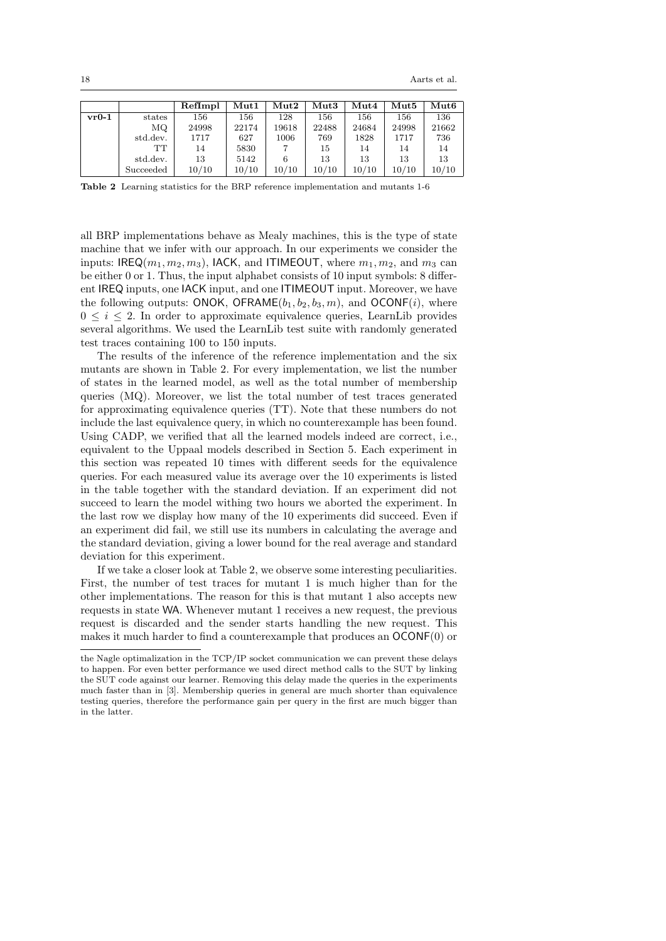|         |           | RefImpl | $\mathbf{Mut1}$ | $\mathbf{Mut2}$ | $\bf{Mut3}$ | $\operatorname{Mut4}$ | $\bf{Mut5}$ | Mut6  |
|---------|-----------|---------|-----------------|-----------------|-------------|-----------------------|-------------|-------|
| $vr0-1$ | states    | 156     | 156             | 128             | 156         | 156                   | 156         | 136   |
|         | MQ.       | 24998   | 22174           | 19618           | 22488       | 24684                 | 24998       | 21662 |
|         | std.dev.  | 1717    | 627             | 1006            | 769         | 1828                  | 1717        | 736   |
|         | TТ        | 14      | 5830            |                 | 15          | 14                    | 14          | 14    |
|         | std.dev.  | 13      | 5142            | 6               | 13          | 13                    | 13          | 13    |
|         | Succeeded | 10/10   | 10/10           | 10/10           | 10/10       | 10/10                 | 10/10       | 10/10 |

Table 2 Learning statistics for the BRP reference implementation and mutants 1-6

all BRP implementations behave as Mealy machines, this is the type of state machine that we infer with our approach. In our experiments we consider the inputs: IREQ $(m_1, m_2, m_3)$ , IACK, and ITIMEOUT, where  $m_1, m_2$ , and  $m_3$  can be either 0 or 1. Thus, the input alphabet consists of 10 input symbols: 8 different IREQ inputs, one IACK input, and one ITIMEOUT input. Moreover, we have the following outputs: ONOK, OFRAME $(b_1, b_2, b_3, m)$ , and OCONF $(i)$ , where  $0 \leq i \leq 2$ . In order to approximate equivalence queries, LearnLib provides several algorithms. We used the LearnLib test suite with randomly generated test traces containing 100 to 150 inputs.

The results of the inference of the reference implementation and the six mutants are shown in Table 2. For every implementation, we list the number of states in the learned model, as well as the total number of membership queries (MQ). Moreover, we list the total number of test traces generated for approximating equivalence queries (TT). Note that these numbers do not include the last equivalence query, in which no counterexample has been found. Using CADP, we verified that all the learned models indeed are correct, i.e., equivalent to the Uppaal models described in Section 5. Each experiment in this section was repeated 10 times with different seeds for the equivalence queries. For each measured value its average over the 10 experiments is listed in the table together with the standard deviation. If an experiment did not succeed to learn the model withing two hours we aborted the experiment. In the last row we display how many of the 10 experiments did succeed. Even if an experiment did fail, we still use its numbers in calculating the average and the standard deviation, giving a lower bound for the real average and standard deviation for this experiment.

If we take a closer look at Table 2, we observe some interesting peculiarities. First, the number of test traces for mutant 1 is much higher than for the other implementations. The reason for this is that mutant 1 also accepts new requests in state WA. Whenever mutant 1 receives a new request, the previous request is discarded and the sender starts handling the new request. This makes it much harder to find a counterexample that produces an OCONF(0) or

the Nagle optimalization in the TCP/IP socket communication we can prevent these delays to happen. For even better performance we used direct method calls to the SUT by linking the SUT code against our learner. Removing this delay made the queries in the experiments much faster than in [3]. Membership queries in general are much shorter than equivalence testing queries, therefore the performance gain per query in the first are much bigger than in the latter.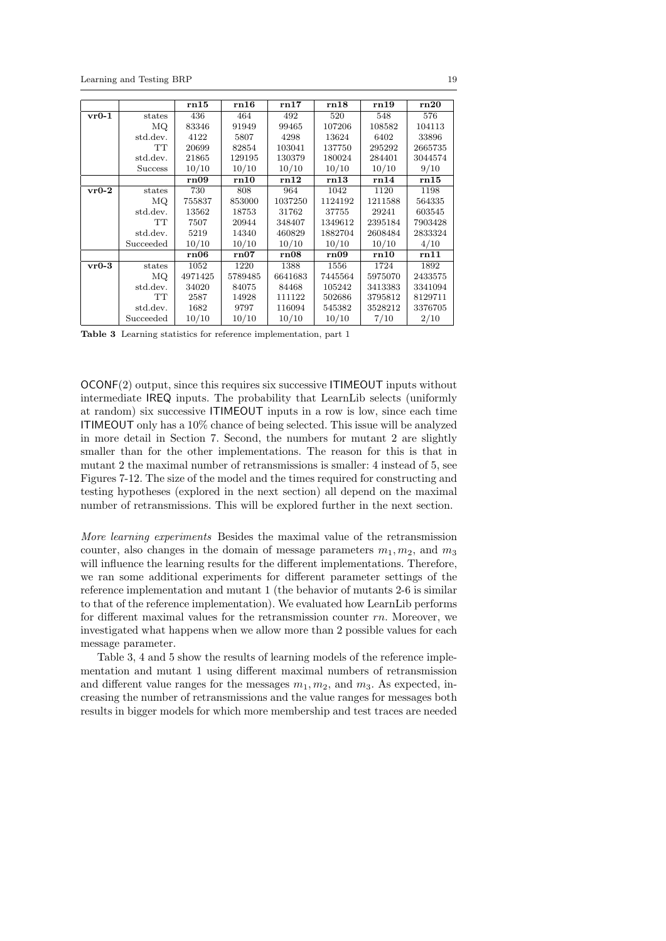|         |                | rn15    | rn16    | rn17    | rn18    | rn19    | rn20    |
|---------|----------------|---------|---------|---------|---------|---------|---------|
| $vr0-1$ | states         | 436     | 464     | 492     | 520     | 548     | 576     |
|         | MQ             | 83346   | 91949   | 99465   | 107206  | 108582  | 104113  |
|         | std.dev.       | 4122    | 5807    | 4298    | 13624   | 6402    | 33896   |
|         | TT             | 20699   | 82854   | 103041  | 137750  | 295292  | 2665735 |
|         | std.dev.       | 21865   | 129195  | 130379  | 180024  | 284401  | 3044574 |
|         | <b>Success</b> | 10/10   | 10/10   | 10/10   | 10/10   | 10/10   | 9/10    |
|         |                | rn09    | rn10    | rn12    | rn13    | rn14    | rn15    |
| $vr0-2$ | states         | 730     | 808     | 964     | 1042    | 1120    | 1198    |
|         | ΜQ             | 755837  | 853000  | 1037250 | 1124192 | 1211588 | 564335  |
|         | std.dev.       | 13562   | 18753   | 31762   | 37755   | 29241   | 603545  |
|         | TT             | 7507    | 20944   | 348407  | 1349612 | 2395184 | 7903428 |
|         | std.dev.       | 5219    | 14340   | 460829  | 1882704 | 2608484 | 2833324 |
|         | Succeeded      | 10/10   | 10/10   | 10/10   | 10/10   | 10/10   | 4/10    |
|         |                | rn06    | rn07    | rn08    | rn09    | rn10    | rn11    |
| $vr0-3$ | states         | 1052    | 1220    | 1388    | 1556    | 1724    | 1892    |
|         | MQ.            | 4971425 | 5789485 | 6641683 | 7445564 | 5975070 | 2433575 |
|         | std.dev.       | 34020   | 84075   | 84468   | 105242  | 3413383 | 3341094 |
|         | TT             | 2587    | 14928   | 111122  | 502686  | 3795812 | 8129711 |
|         | std.dev.       | 1682    | 9797    | 116094  | 545382  | 3528212 | 3376705 |
|         | Succeeded      | 10/10   | 10/10   | 10/10   | 10/10   | 7/10    | 2/10    |

Table 3 Learning statistics for reference implementation, part 1

OCONF(2) output, since this requires six successive ITIMEOUT inputs without intermediate IREQ inputs. The probability that LearnLib selects (uniformly at random) six successive ITIMEOUT inputs in a row is low, since each time ITIMEOUT only has a 10% chance of being selected. This issue will be analyzed in more detail in Section 7. Second, the numbers for mutant 2 are slightly smaller than for the other implementations. The reason for this is that in mutant 2 the maximal number of retransmissions is smaller: 4 instead of 5, see Figures 7-12. The size of the model and the times required for constructing and testing hypotheses (explored in the next section) all depend on the maximal number of retransmissions. This will be explored further in the next section.

More learning experiments Besides the maximal value of the retransmission counter, also changes in the domain of message parameters  $m_1, m_2$ , and  $m_3$ will influence the learning results for the different implementations. Therefore, we ran some additional experiments for different parameter settings of the reference implementation and mutant 1 (the behavior of mutants 2-6 is similar to that of the reference implementation). We evaluated how LearnLib performs for different maximal values for the retransmission counter rn. Moreover, we investigated what happens when we allow more than 2 possible values for each message parameter.

Table 3, 4 and 5 show the results of learning models of the reference implementation and mutant 1 using different maximal numbers of retransmission and different value ranges for the messages  $m_1, m_2$ , and  $m_3$ . As expected, increasing the number of retransmissions and the value ranges for messages both results in bigger models for which more membership and test traces are needed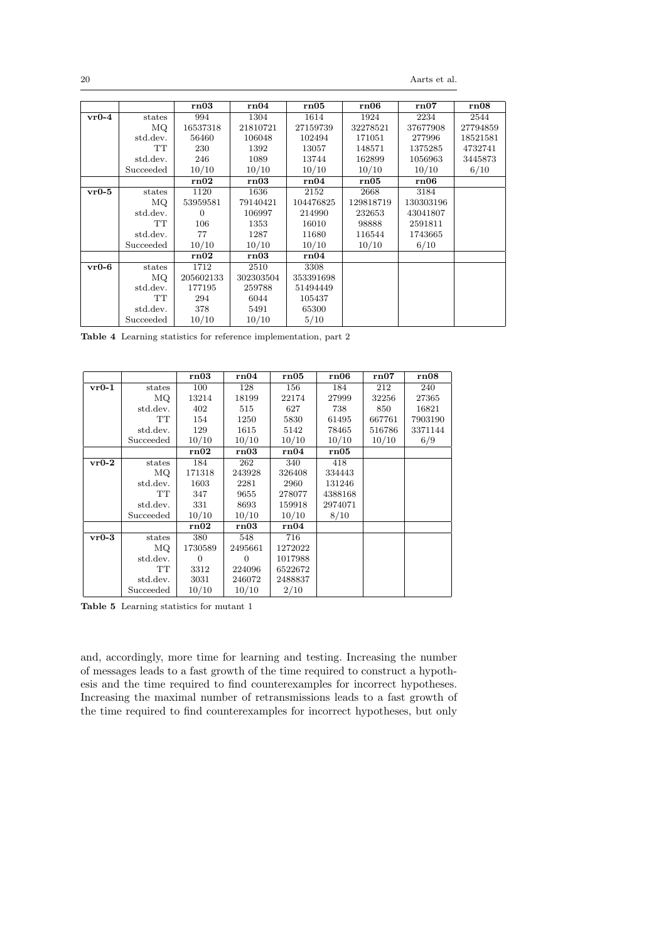20 Aarts et al.

|         |           | rn03      | rn04      | rn05      | rn06      | rn07      | rn08     |
|---------|-----------|-----------|-----------|-----------|-----------|-----------|----------|
| $vr0-4$ | states    | 994       | 1304      | 1614      | 1924      | 2234      | 2544     |
|         | MQ.       | 16537318  | 21810721  | 27159739  | 32278521  | 37677908  | 27794859 |
|         | std.dev.  | 56460     | 106048    | 102494    | 171051    | 277996    | 18521581 |
|         | TT        | 230       | 1392      | 13057     | 148571    | 1375285   | 4732741  |
|         | std.dev.  | 246       | 1089      | 13744     | 162899    | 1056963   | 3445873  |
|         | Succeeded | 10/10     | 10/10     | 10/10     | 10/10     | 10/10     | 6/10     |
|         |           | rn02      | rn03      | rn04      | rn05      | rn06      |          |
| $vr0-5$ | states    | 1120      | 1636      | 2152      | 2668      | 3184      |          |
|         | МQ        | 53959581  | 79140421  | 104476825 | 129818719 | 130303196 |          |
|         | std.dev.  | $\Omega$  | 106997    | 214990    | 232653    | 43041807  |          |
|         | TT        | 106       | 1353      | 16010     | 98888     | 2591811   |          |
|         | std.dev.  | 77        | 1287      | 11680     | 116544    | 1743665   |          |
|         | Succeeded | 10/10     | 10/10     | 10/10     | 10/10     | 6/10      |          |
|         |           | rn02      | rn03      | rn04      |           |           |          |
| $vr0-6$ | states    | 1712      | 2510      | 3308      |           |           |          |
|         | MQ        | 205602133 | 302303504 | 353391698 |           |           |          |
|         | std.dev.  | 177195    | 259788    | 51494449  |           |           |          |
|         | TT        | 294       | 6044      | 105437    |           |           |          |
|         | std.dev.  | 378       | 5491      | 65300     |           |           |          |
|         | Succeeded | 10/10     | 10/10     | 5/10      |           |           |          |

Table 4 Learning statistics for reference implementation, part 2

|         |           | rn03           | rn04     | rn05    | rn06    | rn07   | rn08    |
|---------|-----------|----------------|----------|---------|---------|--------|---------|
| $vr0-1$ | states    | 100            | 128      | 156     | 184     | 212    | 240     |
|         | ΜQ        | 13214          | 18199    | 22174   | 27999   | 32256  | 27365   |
|         | std.dev.  | 402            | 515      | 627     | 738     | 850    | 16821   |
|         | TT        | 154            | 1250     | 5830    | 61495   | 667761 | 7903190 |
|         | std.dev.  | 129            | 1615     | 5142    | 78465   | 516786 | 3371144 |
|         | Succeeded | 10/10          | 10/10    | 10/10   | 10/10   | 10/10  | 6/9     |
|         |           | rn02           | rn03     | rn04    | rn05    |        |         |
| $vr0-2$ | states    | 184            | 262      | 340     | 418     |        |         |
|         | MQ.       | 171318         | 243928   | 326408  | 334443  |        |         |
|         | std.dev.  | 1603           | 2281     | 2960    | 131246  |        |         |
|         | TT        | 347            | 9655     | 278077  | 4388168 |        |         |
|         | std.dev.  | 331            | 8693     | 159918  | 2974071 |        |         |
|         | Succeeded | 10/10          | 10/10    | 10/10   | 8/10    |        |         |
|         |           | rn02           | rn03     | rn04    |         |        |         |
| $vr0-3$ | states    | 380            | 548      | 716     |         |        |         |
|         | МQ        | 1730589        | 2495661  | 1272022 |         |        |         |
|         | std.dev.  | $\overline{0}$ | $\Omega$ | 1017988 |         |        |         |
|         | TT        | 3312           | 224096   | 6522672 |         |        |         |
|         | std.dev.  | 3031           | 246072   | 2488837 |         |        |         |
|         | Succeeded | 10/10          | 10/10    | 2/10    |         |        |         |

Table 5 Learning statistics for mutant 1

and, accordingly, more time for learning and testing. Increasing the number of messages leads to a fast growth of the time required to construct a hypothesis and the time required to find counterexamples for incorrect hypotheses. Increasing the maximal number of retransmissions leads to a fast growth of the time required to find counterexamples for incorrect hypotheses, but only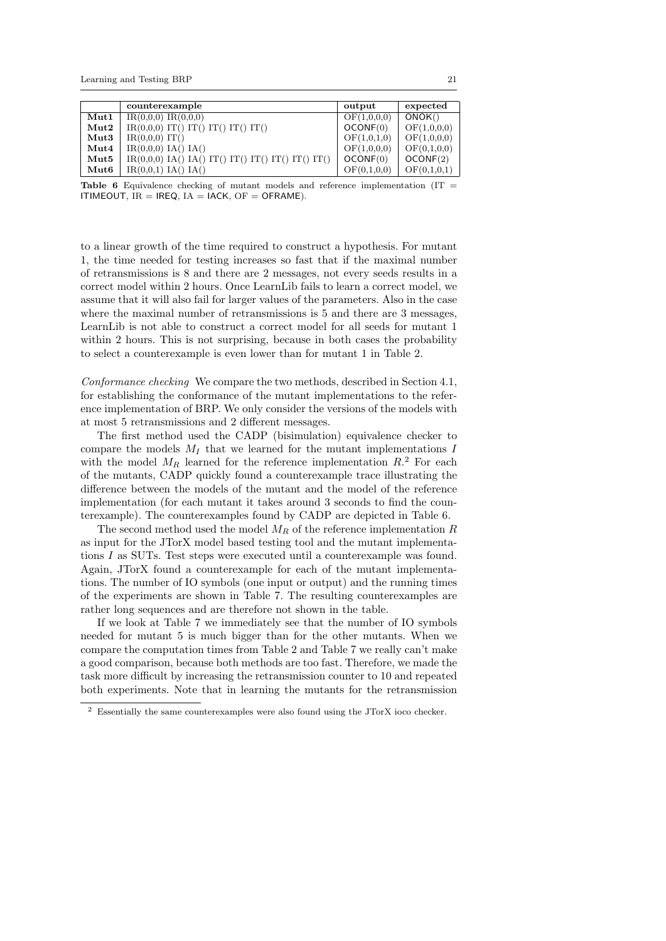|                       | counterexample                                      | output                          | expected    |
|-----------------------|-----------------------------------------------------|---------------------------------|-------------|
| $\mathbf{Mut1}$       | $IR(0,0,0)$ $IR(0,0,0)$                             | $\overline{\text{OF}}(1,0,0,0)$ | ONOK()      |
| $\operatorname{Mut2}$ | $IR(0,0,0)$ IT() IT() IT() IT() IT()                | OCONF(0)                        | OF(1,0,0,0) |
| $\bf{Mut3}$           | $IR(0,0,0)$ IT()                                    | OF(1,0,1,0)                     | OF(1,0,0,0) |
| $\operatorname{Mut4}$ | $IR(0,0,0)$ $IA()$ $IA()$                           | OF(1,0,0,0)                     | OF(0,1,0,0) |
| $\bf{Mut5}$           | $IR(0,0,0)$ IA() IA() IT() IT() IT() IT() IT() IT() | OCONF(0)                        | OCONF(2)    |
| Mut <sub>6</sub>      | $IR(0,0,1)$ $IA()$ $IA()$                           | OF(0,1,0,0)                     | OF(0,1,0,1) |

**Table 6** Equivalence checking of mutant models and reference implementation (IT  $=$ ITIMEOUT,  $IR = IREQ$ ,  $IA = IACK$ ,  $OF = OFRAME$ ).

to a linear growth of the time required to construct a hypothesis. For mutant 1, the time needed for testing increases so fast that if the maximal number of retransmissions is 8 and there are 2 messages, not every seeds results in a correct model within 2 hours. Once LearnLib fails to learn a correct model, we assume that it will also fail for larger values of the parameters. Also in the case where the maximal number of retransmissions is 5 and there are 3 messages, LearnLib is not able to construct a correct model for all seeds for mutant 1 within 2 hours. This is not surprising, because in both cases the probability to select a counterexample is even lower than for mutant 1 in Table 2.

Conformance checking We compare the two methods, described in Section 4.1, for establishing the conformance of the mutant implementations to the reference implementation of BRP. We only consider the versions of the models with at most 5 retransmissions and 2 different messages.

The first method used the CADP (bisimulation) equivalence checker to compare the models  $M_I$  that we learned for the mutant implementations I with the model  $M_R$  learned for the reference implementation  $R<sup>2</sup>$ . For each of the mutants, CADP quickly found a counterexample trace illustrating the difference between the models of the mutant and the model of the reference implementation (for each mutant it takes around 3 seconds to find the counterexample). The counterexamples found by CADP are depicted in Table 6.

The second method used the model  $M_R$  of the reference implementation R as input for the JTorX model based testing tool and the mutant implementations I as SUTs. Test steps were executed until a counterexample was found. Again, JTorX found a counterexample for each of the mutant implementations. The number of IO symbols (one input or output) and the running times of the experiments are shown in Table 7. The resulting counterexamples are rather long sequences and are therefore not shown in the table.

If we look at Table 7 we immediately see that the number of IO symbols needed for mutant 5 is much bigger than for the other mutants. When we compare the computation times from Table 2 and Table 7 we really can't make a good comparison, because both methods are too fast. Therefore, we made the task more difficult by increasing the retransmission counter to 10 and repeated both experiments. Note that in learning the mutants for the retransmission

 $^2\,$  Essentially the same counterexamples were also found using the JTorX ioco checker.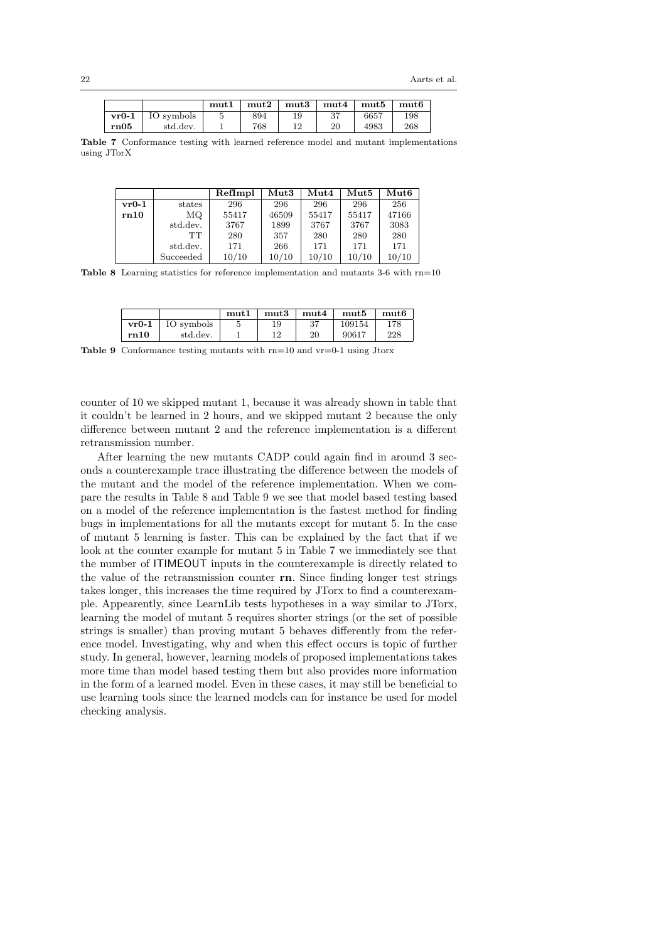|         |            | mut1 | mut2 | mut3 | mut4 | mut5 | mut6 |
|---------|------------|------|------|------|------|------|------|
| $vr0-1$ | IO symbols |      | 894  |      | 37   | 6657 | 198  |
| rn05    | std.dev.   |      | 768  |      | 20   | 4983 | 268  |

Table 7 Conformance testing with learned reference model and mutant implementations using JTorX

|         |           | RefImpl | $\bf{Mut3}$ | $M$ ut $4$ | $M$ ut $5$ | $\mathbf{Mut6}$ |
|---------|-----------|---------|-------------|------------|------------|-----------------|
| $vr0-1$ | states    | 296     | 296         | 296        | 296        | 256             |
| rn10    | MQ.       | 55417   | 46509       | 55417      | 55417      | 47166           |
|         | std.dev.  | 3767    | 1899        | 3767       | 3767       | 3083            |
|         | TТ        | 280     | 357         | 280        | 280        | 280             |
|         | std.dev.  | 171     | 266         | 171        | 171        | 171             |
|         | Succeeded | 10/10   | 10/10       | 10/10      | 10/10      | 10/10           |

Table 8 Learning statistics for reference implementation and mutants 3-6 with rn=10

|         |            | mut1 | mut3 | mut4 | mut5   | mut6 |
|---------|------------|------|------|------|--------|------|
| $vr0-1$ | IO symbols |      | 19   | 37   | 109154 | 178  |
| rn10    | std.dev.   |      | 12   | 20   | 90617  | 228  |

Table 9 Conformance testing mutants with rn=10 and vr=0-1 using Jtorx

counter of 10 we skipped mutant 1, because it was already shown in table that it couldn't be learned in 2 hours, and we skipped mutant 2 because the only difference between mutant 2 and the reference implementation is a different retransmission number.

After learning the new mutants CADP could again find in around 3 seconds a counterexample trace illustrating the difference between the models of the mutant and the model of the reference implementation. When we compare the results in Table 8 and Table 9 we see that model based testing based on a model of the reference implementation is the fastest method for finding bugs in implementations for all the mutants except for mutant 5. In the case of mutant 5 learning is faster. This can be explained by the fact that if we look at the counter example for mutant 5 in Table 7 we immediately see that the number of ITIMEOUT inputs in the counterexample is directly related to the value of the retransmission counter rn. Since finding longer test strings takes longer, this increases the time required by JTorx to find a counterexample. Appearently, since LearnLib tests hypotheses in a way similar to JTorx, learning the model of mutant 5 requires shorter strings (or the set of possible strings is smaller) than proving mutant 5 behaves differently from the reference model. Investigating, why and when this effect occurs is topic of further study. In general, however, learning models of proposed implementations takes more time than model based testing them but also provides more information in the form of a learned model. Even in these cases, it may still be beneficial to use learning tools since the learned models can for instance be used for model checking analysis.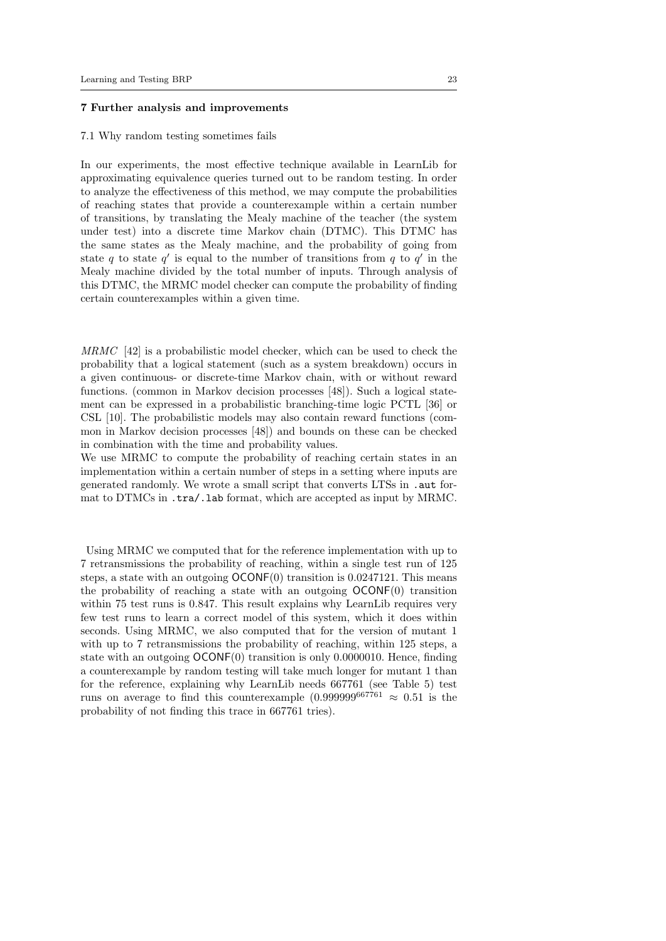# 7 Further analysis and improvements

#### 7.1 Why random testing sometimes fails

In our experiments, the most effective technique available in LearnLib for approximating equivalence queries turned out to be random testing. In order to analyze the effectiveness of this method, we may compute the probabilities of reaching states that provide a counterexample within a certain number of transitions, by translating the Mealy machine of the teacher (the system under test) into a discrete time Markov chain (DTMC). This DTMC has the same states as the Mealy machine, and the probability of going from state q to state  $q'$  is equal to the number of transitions from q to  $q'$  in the Mealy machine divided by the total number of inputs. Through analysis of this DTMC, the MRMC model checker can compute the probability of finding certain counterexamples within a given time.

MRMC [42] is a probabilistic model checker, which can be used to check the probability that a logical statement (such as a system breakdown) occurs in a given continuous- or discrete-time Markov chain, with or without reward functions. (common in Markov decision processes [48]). Such a logical statement can be expressed in a probabilistic branching-time logic PCTL [36] or CSL [10]. The probabilistic models may also contain reward functions (common in Markov decision processes [48]) and bounds on these can be checked in combination with the time and probability values.

We use MRMC to compute the probability of reaching certain states in an implementation within a certain number of steps in a setting where inputs are generated randomly. We wrote a small script that converts LTSs in .aut format to DTMCs in .tra/.lab format, which are accepted as input by MRMC.

Using MRMC we computed that for the reference implementation with up to 7 retransmissions the probability of reaching, within a single test run of 125 steps, a state with an outgoing OCONF(0) transition is 0.0247121. This means the probability of reaching a state with an outgoing OCONF(0) transition within 75 test runs is 0.847. This result explains why LearnLib requires very few test runs to learn a correct model of this system, which it does within seconds. Using MRMC, we also computed that for the version of mutant 1 with up to 7 retransmissions the probability of reaching, within 125 steps, a state with an outgoing  $OCONF(0)$  transition is only 0.0000010. Hence, finding a counterexample by random testing will take much longer for mutant 1 than for the reference, explaining why LearnLib needs 667761 (see Table 5) test runs on average to find this counterexample  $(0.999999^{667761} \approx 0.51$  is the probability of not finding this trace in 667761 tries).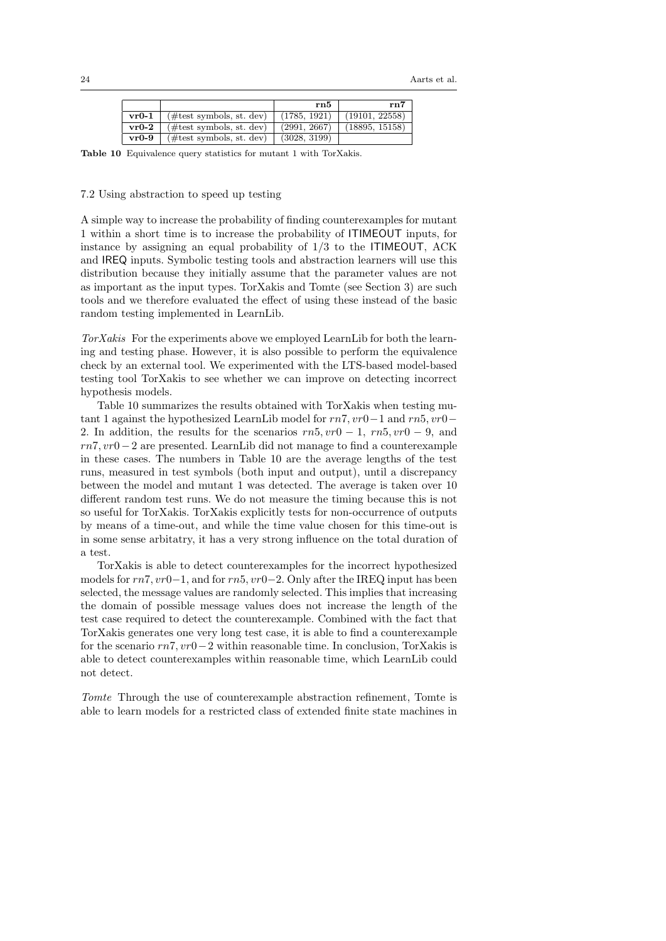|         |                             | rn5          | rn7            |
|---------|-----------------------------|--------------|----------------|
| $vr0-1$ | $(\#test symbols, st. dev)$ | (1785, 1921) | (19101, 22558) |
| $vr0-2$ | $(\#test symbols, st. dev)$ | (2991, 2667) | (18895, 15158) |
| $vr0-9$ | $(\#test symbols, st. dev)$ | (3028, 3199) |                |

Table 10 Equivalence query statistics for mutant 1 with TorXakis.

## 7.2 Using abstraction to speed up testing

A simple way to increase the probability of finding counterexamples for mutant 1 within a short time is to increase the probability of ITIMEOUT inputs, for instance by assigning an equal probability of  $1/3$  to the ITIMEOUT, ACK and IREQ inputs. Symbolic testing tools and abstraction learners will use this distribution because they initially assume that the parameter values are not as important as the input types. TorXakis and Tomte (see Section 3) are such tools and we therefore evaluated the effect of using these instead of the basic random testing implemented in LearnLib.

TorXakis For the experiments above we employed LearnLib for both the learning and testing phase. However, it is also possible to perform the equivalence check by an external tool. We experimented with the LTS-based model-based testing tool TorXakis to see whether we can improve on detecting incorrect hypothesis models.

Table 10 summarizes the results obtained with TorXakis when testing mutant 1 against the hypothesized LearnLib model for rn7, vr0−1 and rn5, vr0− 2. In addition, the results for the scenarios  $rn5, vr0 - 1, rn5, vr0 - 9,$  and rn7, vr0−2 are presented. LearnLib did not manage to find a counterexample in these cases. The numbers in Table 10 are the average lengths of the test runs, measured in test symbols (both input and output), until a discrepancy between the model and mutant 1 was detected. The average is taken over 10 different random test runs. We do not measure the timing because this is not so useful for TorXakis. TorXakis explicitly tests for non-occurrence of outputs by means of a time-out, and while the time value chosen for this time-out is in some sense arbitatry, it has a very strong influence on the total duration of a test.

TorXakis is able to detect counterexamples for the incorrect hypothesized models for rn7, vr0−1, and for rn5, vr0−2. Only after the IREQ input has been selected, the message values are randomly selected. This implies that increasing the domain of possible message values does not increase the length of the test case required to detect the counterexample. Combined with the fact that TorXakis generates one very long test case, it is able to find a counterexample for the scenario  $rn7, vr0-2$  within reasonable time. In conclusion, TorXakis is able to detect counterexamples within reasonable time, which LearnLib could not detect.

Tomte Through the use of counterexample abstraction refinement, Tomte is able to learn models for a restricted class of extended finite state machines in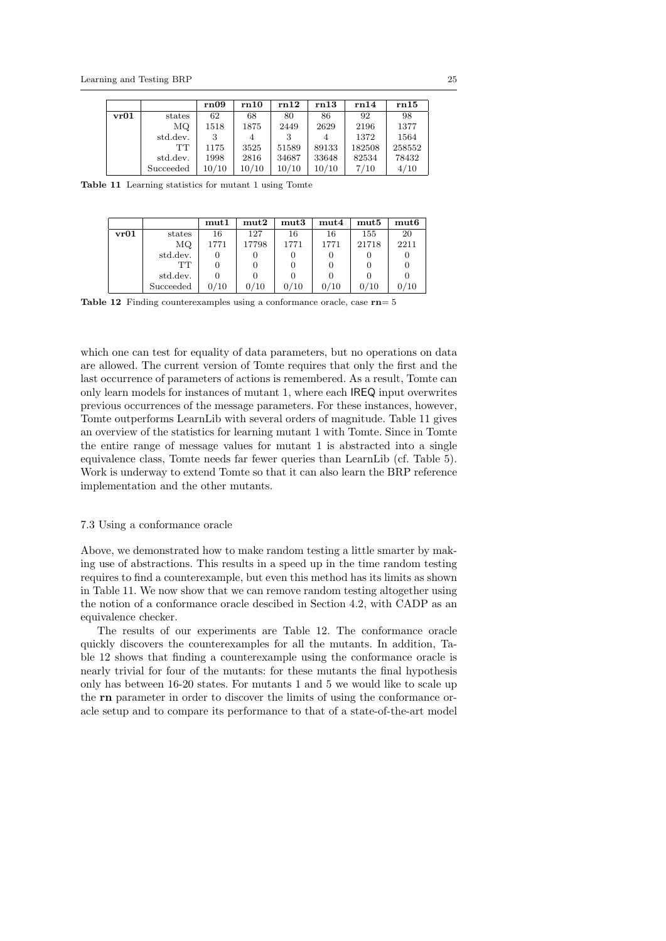|      |           | rn09  | rn10  | rn12  | rn13  | rn14   | rn15   |
|------|-----------|-------|-------|-------|-------|--------|--------|
| vr01 | states    | 62    | 68    | 80    | 86    | 92     | 98     |
|      | MQ.       | 1518  | 1875  | 2449  | 2629  | 2196   | 1377   |
|      | std.dev.  |       | 4     | 3     |       | 1372   | 1564   |
|      | TТ        | 1175  | 3525  | 51589 | 89133 | 182508 | 258552 |
|      | std.dev.  | 1998  | 2816  | 34687 | 33648 | 82534  | 78432  |
|      | Succeeded | 10/10 | 10/10 | 10/10 | 10/10 | 7/10   | 4/10   |

Table 11 Learning statistics for mutant 1 using Tomte

|      |           | mut1 | mut2  | mut3 | mut4 | mut5  | mut6 |
|------|-----------|------|-------|------|------|-------|------|
| vr01 | states    | 16   | 127   | 16   | 16   | 155   | 20   |
|      | МQ        | 1771 | 17798 | 1771 | 1771 | 21718 | 2211 |
|      | std.dev.  |      |       |      |      |       |      |
|      | TТ        |      |       |      |      |       |      |
|      | std.dev.  |      |       |      |      |       |      |
|      | Succeeded | 0/10 | 0/10  | 0/10 | 0/10 | 0/10  |      |

Table 12 Finding counterexamples using a conformance oracle, case rn= 5

which one can test for equality of data parameters, but no operations on data are allowed. The current version of Tomte requires that only the first and the last occurrence of parameters of actions is remembered. As a result, Tomte can only learn models for instances of mutant 1, where each IREQ input overwrites previous occurrences of the message parameters. For these instances, however, Tomte outperforms LearnLib with several orders of magnitude. Table 11 gives an overview of the statistics for learning mutant 1 with Tomte. Since in Tomte the entire range of message values for mutant 1 is abstracted into a single equivalence class, Tomte needs far fewer queries than LearnLib (cf. Table 5). Work is underway to extend Tomte so that it can also learn the BRP reference implementation and the other mutants.

## 7.3 Using a conformance oracle

Above, we demonstrated how to make random testing a little smarter by making use of abstractions. This results in a speed up in the time random testing requires to find a counterexample, but even this method has its limits as shown in Table 11. We now show that we can remove random testing altogether using the notion of a conformance oracle descibed in Section 4.2, with CADP as an equivalence checker.

The results of our experiments are Table 12. The conformance oracle quickly discovers the counterexamples for all the mutants. In addition, Table 12 shows that finding a counterexample using the conformance oracle is nearly trivial for four of the mutants: for these mutants the final hypothesis only has between 16-20 states. For mutants 1 and 5 we would like to scale up the rn parameter in order to discover the limits of using the conformance oracle setup and to compare its performance to that of a state-of-the-art model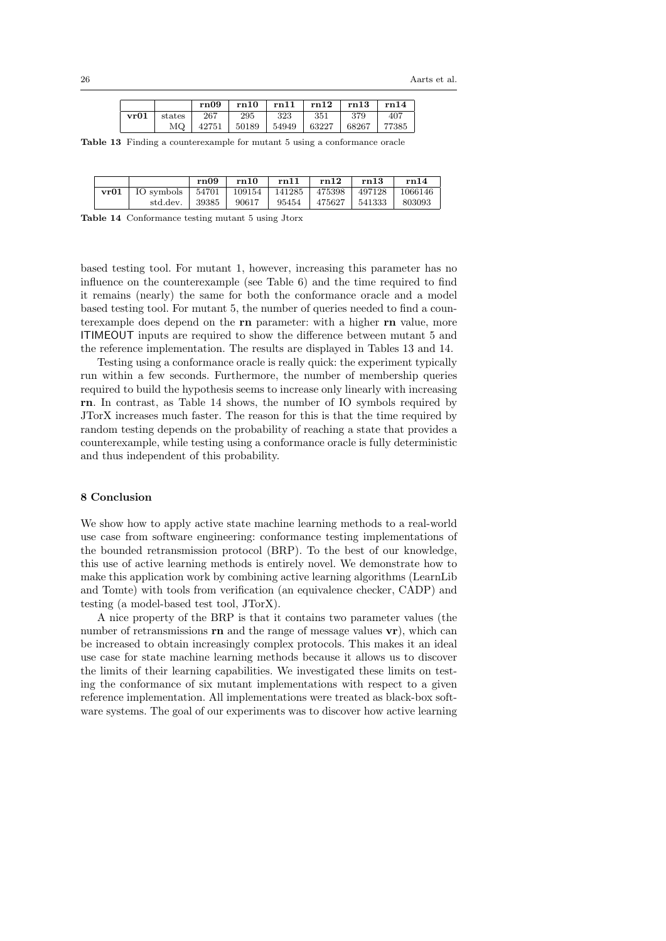|      |        | rn09  | rn10  | rn11  | rn12  | rn13  | rn14  |
|------|--------|-------|-------|-------|-------|-------|-------|
| vr01 | states | 267   | 295   | 323   | 351   | 379   | 407   |
|      | MQ.    | 42751 | 50189 | 54949 | 63227 | 68267 | 77385 |

Table 13 Finding a counterexample for mutant 5 using a conformance oracle

|                                                        | rn09  | rn10  | rn11  | rn12   | rn13   | rn14    |
|--------------------------------------------------------|-------|-------|-------|--------|--------|---------|
| $vr01$   IO symbols   54701   109154   141285   475398 |       |       |       |        | 497128 | 1066146 |
| std.dev.                                               | 39385 | 90617 | 95454 | 475627 | 541333 | 803093  |

Table 14 Conformance testing mutant 5 using Jtorx

based testing tool. For mutant 1, however, increasing this parameter has no influence on the counterexample (see Table 6) and the time required to find it remains (nearly) the same for both the conformance oracle and a model based testing tool. For mutant 5, the number of queries needed to find a counterexample does depend on the rn parameter: with a higher rn value, more ITIMEOUT inputs are required to show the difference between mutant 5 and the reference implementation. The results are displayed in Tables 13 and 14.

Testing using a conformance oracle is really quick: the experiment typically run within a few seconds. Furthermore, the number of membership queries required to build the hypothesis seems to increase only linearly with increasing rn. In contrast, as Table 14 shows, the number of IO symbols required by JTorX increases much faster. The reason for this is that the time required by random testing depends on the probability of reaching a state that provides a counterexample, while testing using a conformance oracle is fully deterministic and thus independent of this probability.

## 8 Conclusion

We show how to apply active state machine learning methods to a real-world use case from software engineering: conformance testing implementations of the bounded retransmission protocol (BRP). To the best of our knowledge, this use of active learning methods is entirely novel. We demonstrate how to make this application work by combining active learning algorithms (LearnLib and Tomte) with tools from verification (an equivalence checker, CADP) and testing (a model-based test tool, JTorX).

A nice property of the BRP is that it contains two parameter values (the number of retransmissions  $\mathbf{r}_1$  and the range of message values  $\mathbf{v}_1$ , which can be increased to obtain increasingly complex protocols. This makes it an ideal use case for state machine learning methods because it allows us to discover the limits of their learning capabilities. We investigated these limits on testing the conformance of six mutant implementations with respect to a given reference implementation. All implementations were treated as black-box software systems. The goal of our experiments was to discover how active learning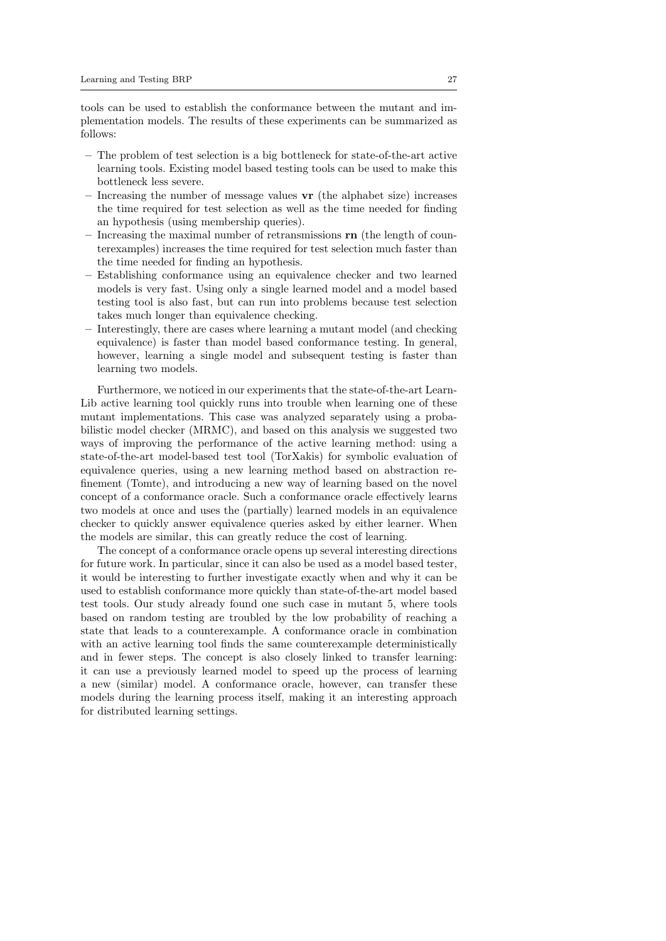tools can be used to establish the conformance between the mutant and implementation models. The results of these experiments can be summarized as follows:

- The problem of test selection is a big bottleneck for state-of-the-art active learning tools. Existing model based testing tools can be used to make this bottleneck less severe.
- Increasing the number of message values vr (the alphabet size) increases the time required for test selection as well as the time needed for finding an hypothesis (using membership queries).
- $-$  Increasing the maximal number of retransmissions  $\mathbf{r}$  as (the length of counterexamples) increases the time required for test selection much faster than the time needed for finding an hypothesis.
- Establishing conformance using an equivalence checker and two learned models is very fast. Using only a single learned model and a model based testing tool is also fast, but can run into problems because test selection takes much longer than equivalence checking.
- Interestingly, there are cases where learning a mutant model (and checking equivalence) is faster than model based conformance testing. In general, however, learning a single model and subsequent testing is faster than learning two models.

Furthermore, we noticed in our experiments that the state-of-the-art Learn-Lib active learning tool quickly runs into trouble when learning one of these mutant implementations. This case was analyzed separately using a probabilistic model checker (MRMC), and based on this analysis we suggested two ways of improving the performance of the active learning method: using a state-of-the-art model-based test tool (TorXakis) for symbolic evaluation of equivalence queries, using a new learning method based on abstraction refinement (Tomte), and introducing a new way of learning based on the novel concept of a conformance oracle. Such a conformance oracle effectively learns two models at once and uses the (partially) learned models in an equivalence checker to quickly answer equivalence queries asked by either learner. When the models are similar, this can greatly reduce the cost of learning.

The concept of a conformance oracle opens up several interesting directions for future work. In particular, since it can also be used as a model based tester, it would be interesting to further investigate exactly when and why it can be used to establish conformance more quickly than state-of-the-art model based test tools. Our study already found one such case in mutant 5, where tools based on random testing are troubled by the low probability of reaching a state that leads to a counterexample. A conformance oracle in combination with an active learning tool finds the same counterexample deterministically and in fewer steps. The concept is also closely linked to transfer learning: it can use a previously learned model to speed up the process of learning a new (similar) model. A conformance oracle, however, can transfer these models during the learning process itself, making it an interesting approach for distributed learning settings.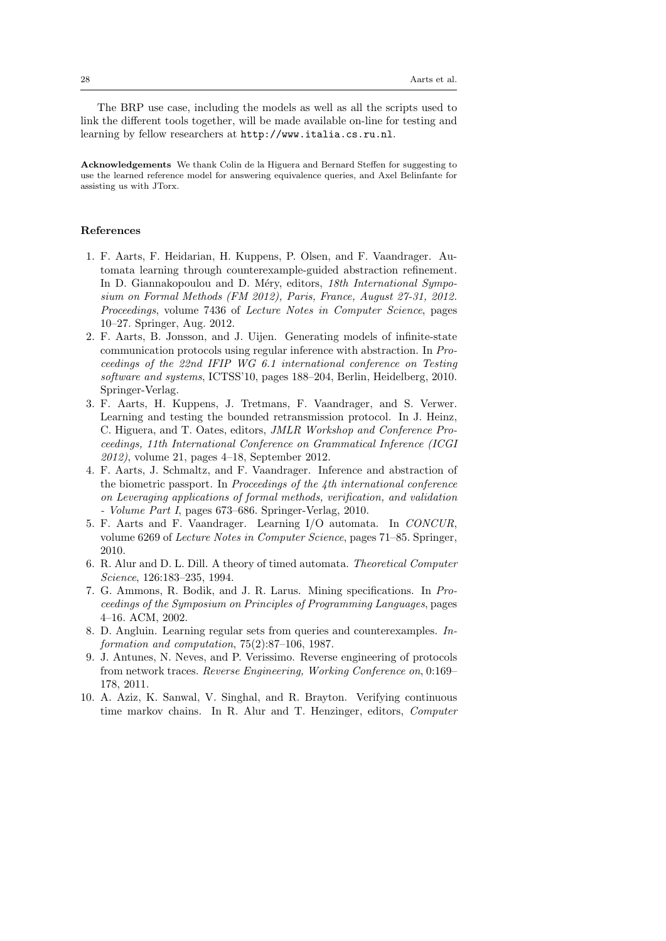The BRP use case, including the models as well as all the scripts used to link the different tools together, will be made available on-line for testing and learning by fellow researchers at http://www.italia.cs.ru.nl.

Acknowledgements We thank Colin de la Higuera and Bernard Steffen for suggesting to use the learned reference model for answering equivalence queries, and Axel Belinfante for assisting us with JTorx.

## References

- 1. F. Aarts, F. Heidarian, H. Kuppens, P. Olsen, and F. Vaandrager. Automata learning through counterexample-guided abstraction refinement. In D. Giannakopoulou and D. Méry, editors, 18th International Symposium on Formal Methods (FM 2012), Paris, France, August 27-31, 2012. Proceedings, volume 7436 of Lecture Notes in Computer Science, pages 10–27. Springer, Aug. 2012.
- 2. F. Aarts, B. Jonsson, and J. Uijen. Generating models of infinite-state communication protocols using regular inference with abstraction. In Proceedings of the 22nd IFIP WG 6.1 international conference on Testing software and systems, ICTSS'10, pages 188–204, Berlin, Heidelberg, 2010. Springer-Verlag.
- 3. F. Aarts, H. Kuppens, J. Tretmans, F. Vaandrager, and S. Verwer. Learning and testing the bounded retransmission protocol. In J. Heinz, C. Higuera, and T. Oates, editors, JMLR Workshop and Conference Proceedings, 11th International Conference on Grammatical Inference (ICGI 2012), volume 21, pages 4–18, September 2012.
- 4. F. Aarts, J. Schmaltz, and F. Vaandrager. Inference and abstraction of the biometric passport. In Proceedings of the 4th international conference on Leveraging applications of formal methods, verification, and validation - Volume Part I, pages 673–686. Springer-Verlag, 2010.
- 5. F. Aarts and F. Vaandrager. Learning I/O automata. In CONCUR, volume 6269 of Lecture Notes in Computer Science, pages 71–85. Springer, 2010.
- 6. R. Alur and D. L. Dill. A theory of timed automata. Theoretical Computer Science, 126:183–235, 1994.
- 7. G. Ammons, R. Bodik, and J. R. Larus. Mining specifications. In Proceedings of the Symposium on Principles of Programming Languages, pages 4–16. ACM, 2002.
- 8. D. Angluin. Learning regular sets from queries and counterexamples. Information and computation, 75(2):87–106, 1987.
- 9. J. Antunes, N. Neves, and P. Verissimo. Reverse engineering of protocols from network traces. Reverse Engineering, Working Conference on, 0:169– 178, 2011.
- 10. A. Aziz, K. Sanwal, V. Singhal, and R. Brayton. Verifying continuous time markov chains. In R. Alur and T. Henzinger, editors, Computer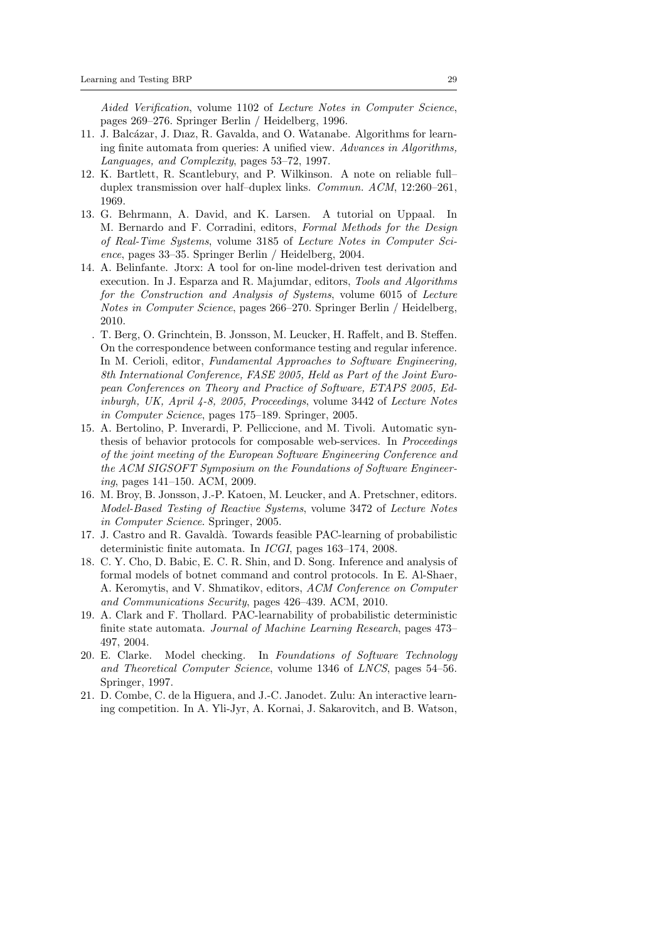Aided Verification, volume 1102 of Lecture Notes in Computer Science, pages 269–276. Springer Berlin / Heidelberg, 1996.

- 11. J. Balcázar, J. Diaz, R. Gavalda, and O. Watanabe. Algorithms for learning finite automata from queries: A unified view. Advances in Algorithms, Languages, and Complexity, pages 53–72, 1997.
- 12. K. Bartlett, R. Scantlebury, and P. Wilkinson. A note on reliable full– duplex transmission over half–duplex links. Commun. ACM, 12:260–261, 1969.
- 13. G. Behrmann, A. David, and K. Larsen. A tutorial on Uppaal. In M. Bernardo and F. Corradini, editors, Formal Methods for the Design of Real-Time Systems, volume 3185 of Lecture Notes in Computer Science, pages 33–35. Springer Berlin / Heidelberg, 2004.
- 14. A. Belinfante. Jtorx: A tool for on-line model-driven test derivation and execution. In J. Esparza and R. Majumdar, editors, Tools and Algorithms for the Construction and Analysis of Systems, volume 6015 of Lecture Notes in Computer Science, pages 266–270. Springer Berlin / Heidelberg, 2010.
	- . T. Berg, O. Grinchtein, B. Jonsson, M. Leucker, H. Raffelt, and B. Steffen. On the correspondence between conformance testing and regular inference. In M. Cerioli, editor, Fundamental Approaches to Software Engineering, 8th International Conference, FASE 2005, Held as Part of the Joint European Conferences on Theory and Practice of Software, ETAPS 2005, Edinburgh, UK, April 4-8, 2005, Proceedings, volume 3442 of Lecture Notes in Computer Science, pages 175–189. Springer, 2005.
- 15. A. Bertolino, P. Inverardi, P. Pelliccione, and M. Tivoli. Automatic synthesis of behavior protocols for composable web-services. In Proceedings of the joint meeting of the European Software Engineering Conference and the ACM SIGSOFT Symposium on the Foundations of Software Engineering, pages 141–150. ACM, 2009.
- 16. M. Broy, B. Jonsson, J.-P. Katoen, M. Leucker, and A. Pretschner, editors. Model-Based Testing of Reactive Systems, volume 3472 of Lecture Notes in Computer Science. Springer, 2005.
- 17. J. Castro and R. Gavald`a. Towards feasible PAC-learning of probabilistic deterministic finite automata. In ICGI, pages 163–174, 2008.
- 18. C. Y. Cho, D. Babic, E. C. R. Shin, and D. Song. Inference and analysis of formal models of botnet command and control protocols. In E. Al-Shaer, A. Keromytis, and V. Shmatikov, editors, ACM Conference on Computer and Communications Security, pages 426–439. ACM, 2010.
- 19. A. Clark and F. Thollard. PAC-learnability of probabilistic deterministic finite state automata. Journal of Machine Learning Research, pages 473– 497, 2004.
- 20. E. Clarke. Model checking. In Foundations of Software Technology and Theoretical Computer Science, volume 1346 of LNCS, pages 54–56. Springer, 1997.
- 21. D. Combe, C. de la Higuera, and J.-C. Janodet. Zulu: An interactive learning competition. In A. Yli-Jyr, A. Kornai, J. Sakarovitch, and B. Watson,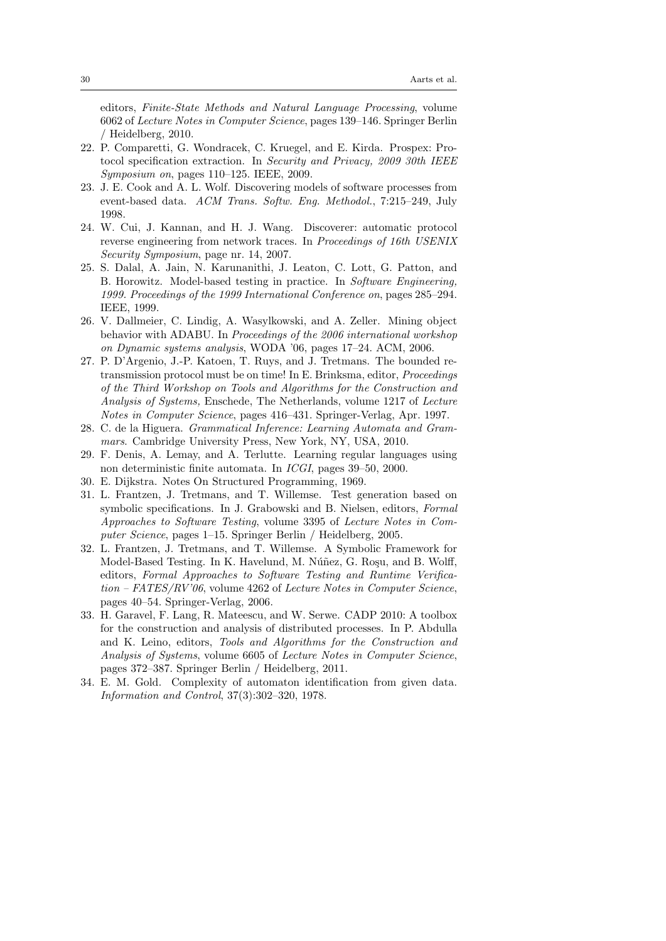editors, Finite-State Methods and Natural Language Processing, volume 6062 of Lecture Notes in Computer Science, pages 139–146. Springer Berlin / Heidelberg, 2010.

- 22. P. Comparetti, G. Wondracek, C. Kruegel, and E. Kirda. Prospex: Protocol specification extraction. In Security and Privacy, 2009 30th IEEE Symposium on, pages 110–125. IEEE, 2009.
- 23. J. E. Cook and A. L. Wolf. Discovering models of software processes from event-based data. ACM Trans. Softw. Eng. Methodol., 7:215–249, July 1998.
- 24. W. Cui, J. Kannan, and H. J. Wang. Discoverer: automatic protocol reverse engineering from network traces. In Proceedings of 16th USENIX Security Symposium, page nr. 14, 2007.
- 25. S. Dalal, A. Jain, N. Karunanithi, J. Leaton, C. Lott, G. Patton, and B. Horowitz. Model-based testing in practice. In Software Engineering, 1999. Proceedings of the 1999 International Conference on, pages 285–294. IEEE, 1999.
- 26. V. Dallmeier, C. Lindig, A. Wasylkowski, and A. Zeller. Mining object behavior with ADABU. In Proceedings of the 2006 international workshop on Dynamic systems analysis, WODA '06, pages 17–24. ACM, 2006.
- 27. P. D'Argenio, J.-P. Katoen, T. Ruys, and J. Tretmans. The bounded retransmission protocol must be on time! In E. Brinksma, editor, Proceedings of the Third Workshop on Tools and Algorithms for the Construction and Analysis of Systems, Enschede, The Netherlands, volume 1217 of Lecture Notes in Computer Science, pages 416–431. Springer-Verlag, Apr. 1997.
- 28. C. de la Higuera. Grammatical Inference: Learning Automata and Grammars. Cambridge University Press, New York, NY, USA, 2010.
- 29. F. Denis, A. Lemay, and A. Terlutte. Learning regular languages using non deterministic finite automata. In ICGI, pages 39–50, 2000.
- 30. E. Dijkstra. Notes On Structured Programming, 1969.
- 31. L. Frantzen, J. Tretmans, and T. Willemse. Test generation based on symbolic specifications. In J. Grabowski and B. Nielsen, editors, Formal Approaches to Software Testing, volume 3395 of Lecture Notes in Computer Science, pages 1–15. Springer Berlin / Heidelberg, 2005.
- 32. L. Frantzen, J. Tretmans, and T. Willemse. A Symbolic Framework for Model-Based Testing. In K. Havelund, M. Núñez, G. Roşu, and B. Wolff, editors, Formal Approaches to Software Testing and Runtime Verification – FATES/RV'06, volume 4262 of Lecture Notes in Computer Science, pages 40–54. Springer-Verlag, 2006.
- 33. H. Garavel, F. Lang, R. Mateescu, and W. Serwe. CADP 2010: A toolbox for the construction and analysis of distributed processes. In P. Abdulla and K. Leino, editors, Tools and Algorithms for the Construction and Analysis of Systems, volume 6605 of Lecture Notes in Computer Science, pages 372–387. Springer Berlin / Heidelberg, 2011.
- 34. E. M. Gold. Complexity of automaton identification from given data. Information and Control, 37(3):302–320, 1978.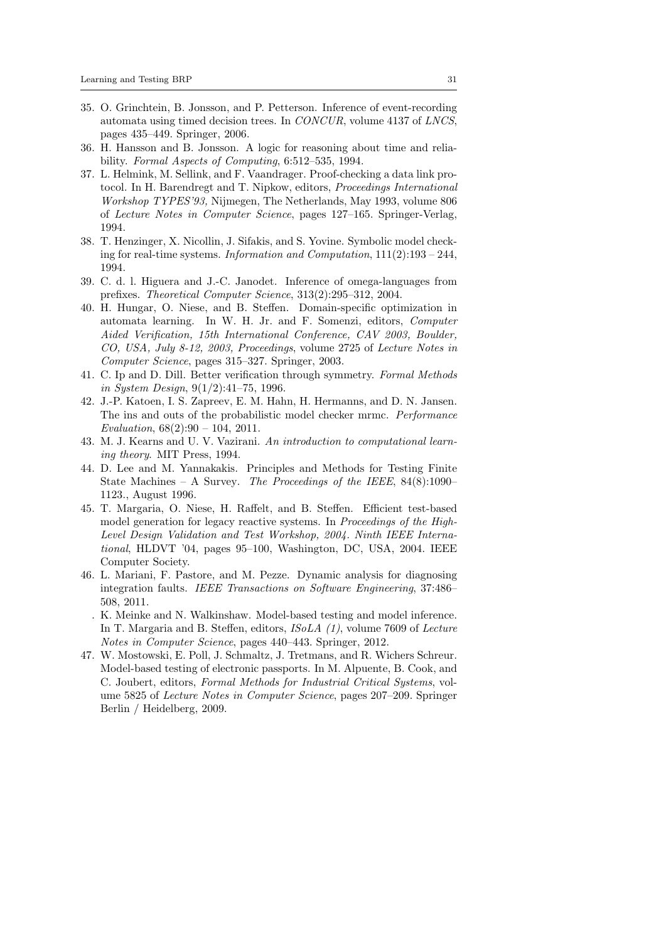- 35. O. Grinchtein, B. Jonsson, and P. Petterson. Inference of event-recording automata using timed decision trees. In CONCUR, volume 4137 of LNCS, pages 435–449. Springer, 2006.
- 36. H. Hansson and B. Jonsson. A logic for reasoning about time and reliability. Formal Aspects of Computing, 6:512–535, 1994.
- 37. L. Helmink, M. Sellink, and F. Vaandrager. Proof-checking a data link protocol. In H. Barendregt and T. Nipkow, editors, Proceedings International Workshop TYPES'93, Nijmegen, The Netherlands, May 1993, volume 806 of Lecture Notes in Computer Science, pages 127–165. Springer-Verlag, 1994.
- 38. T. Henzinger, X. Nicollin, J. Sifakis, and S. Yovine. Symbolic model checking for real-time systems. Information and Computation, 111(2):193 – 244, 1994.
- 39. C. d. l. Higuera and J.-C. Janodet. Inference of omega-languages from prefixes. Theoretical Computer Science, 313(2):295–312, 2004.
- 40. H. Hungar, O. Niese, and B. Steffen. Domain-specific optimization in automata learning. In W. H. Jr. and F. Somenzi, editors, Computer Aided Verification, 15th International Conference, CAV 2003, Boulder, CO, USA, July 8-12, 2003, Proceedings, volume 2725 of Lecture Notes in Computer Science, pages 315–327. Springer, 2003.
- 41. C. Ip and D. Dill. Better verification through symmetry. Formal Methods in System Design, 9(1/2):41–75, 1996.
- 42. J.-P. Katoen, I. S. Zapreev, E. M. Hahn, H. Hermanns, and D. N. Jansen. The ins and outs of the probabilistic model checker mrmc. Performance Evaluation,  $68(2):90 - 104$ ,  $2011$ .
- 43. M. J. Kearns and U. V. Vazirani. An introduction to computational learning theory. MIT Press, 1994.
- 44. D. Lee and M. Yannakakis. Principles and Methods for Testing Finite State Machines – A Survey. The Proceedings of the IEEE,  $84(8):1090-$ 1123., August 1996.
- 45. T. Margaria, O. Niese, H. Raffelt, and B. Steffen. Efficient test-based model generation for legacy reactive systems. In Proceedings of the High-Level Design Validation and Test Workshop, 2004. Ninth IEEE International, HLDVT '04, pages 95–100, Washington, DC, USA, 2004. IEEE Computer Society.
- 46. L. Mariani, F. Pastore, and M. Pezze. Dynamic analysis for diagnosing integration faults. IEEE Transactions on Software Engineering, 37:486– 508, 2011.
	- . K. Meinke and N. Walkinshaw. Model-based testing and model inference. In T. Margaria and B. Steffen, editors, ISoLA (1), volume 7609 of Lecture Notes in Computer Science, pages 440–443. Springer, 2012.
- 47. W. Mostowski, E. Poll, J. Schmaltz, J. Tretmans, and R. Wichers Schreur. Model-based testing of electronic passports. In M. Alpuente, B. Cook, and C. Joubert, editors, Formal Methods for Industrial Critical Systems, volume 5825 of Lecture Notes in Computer Science, pages 207–209. Springer Berlin / Heidelberg, 2009.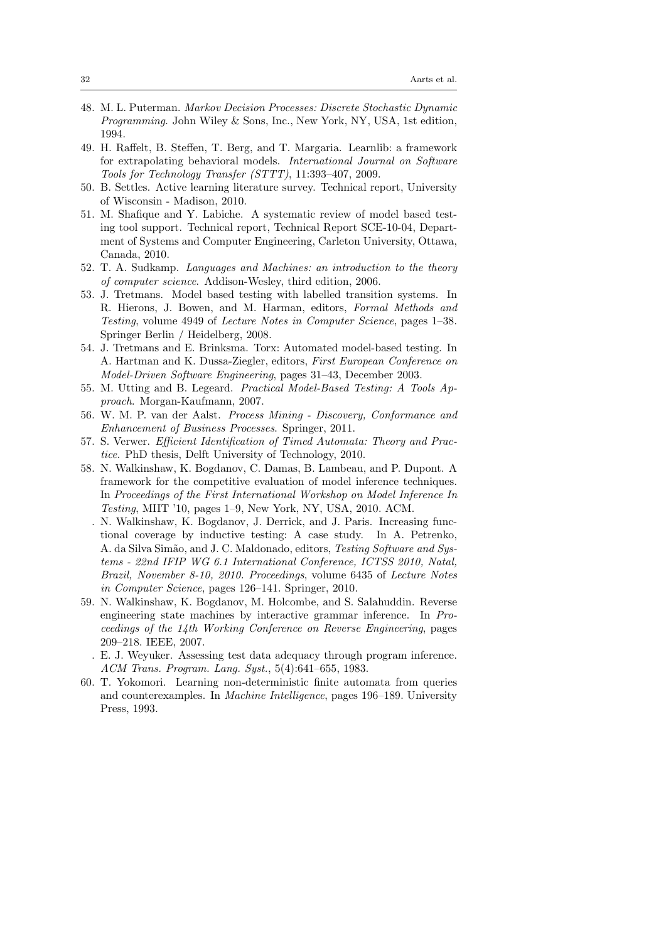- 48. M. L. Puterman. Markov Decision Processes: Discrete Stochastic Dynamic Programming. John Wiley & Sons, Inc., New York, NY, USA, 1st edition, 1994.
- 49. H. Raffelt, B. Steffen, T. Berg, and T. Margaria. Learnlib: a framework for extrapolating behavioral models. International Journal on Software Tools for Technology Transfer (STTT), 11:393–407, 2009.
- 50. B. Settles. Active learning literature survey. Technical report, University of Wisconsin - Madison, 2010.
- 51. M. Shafique and Y. Labiche. A systematic review of model based testing tool support. Technical report, Technical Report SCE-10-04, Department of Systems and Computer Engineering, Carleton University, Ottawa, Canada, 2010.
- 52. T. A. Sudkamp. Languages and Machines: an introduction to the theory of computer science. Addison-Wesley, third edition, 2006.
- 53. J. Tretmans. Model based testing with labelled transition systems. In R. Hierons, J. Bowen, and M. Harman, editors, Formal Methods and Testing, volume 4949 of Lecture Notes in Computer Science, pages 1–38. Springer Berlin / Heidelberg, 2008.
- 54. J. Tretmans and E. Brinksma. Torx: Automated model-based testing. In A. Hartman and K. Dussa-Ziegler, editors, First European Conference on Model-Driven Software Engineering, pages 31–43, December 2003.
- 55. M. Utting and B. Legeard. Practical Model-Based Testing: A Tools Approach. Morgan-Kaufmann, 2007.
- 56. W. M. P. van der Aalst. Process Mining Discovery, Conformance and Enhancement of Business Processes. Springer, 2011.
- 57. S. Verwer. Efficient Identification of Timed Automata: Theory and Practice. PhD thesis, Delft University of Technology, 2010.
- 58. N. Walkinshaw, K. Bogdanov, C. Damas, B. Lambeau, and P. Dupont. A framework for the competitive evaluation of model inference techniques. In Proceedings of the First International Workshop on Model Inference In Testing, MIIT '10, pages 1–9, New York, NY, USA, 2010. ACM.
	- . N. Walkinshaw, K. Bogdanov, J. Derrick, and J. Paris. Increasing functional coverage by inductive testing: A case study. In A. Petrenko, A. da Silva Simão, and J. C. Maldonado, editors, Testing Software and Systems - 22nd IFIP WG 6.1 International Conference, ICTSS 2010, Natal, Brazil, November 8-10, 2010. Proceedings, volume 6435 of Lecture Notes in Computer Science, pages 126–141. Springer, 2010.
- 59. N. Walkinshaw, K. Bogdanov, M. Holcombe, and S. Salahuddin. Reverse engineering state machines by interactive grammar inference. In Proceedings of the 14th Working Conference on Reverse Engineering, pages 209–218. IEEE, 2007.
	- . E. J. Weyuker. Assessing test data adequacy through program inference. ACM Trans. Program. Lang. Syst., 5(4):641–655, 1983.
- 60. T. Yokomori. Learning non-deterministic finite automata from queries and counterexamples. In Machine Intelligence, pages 196–189. University Press, 1993.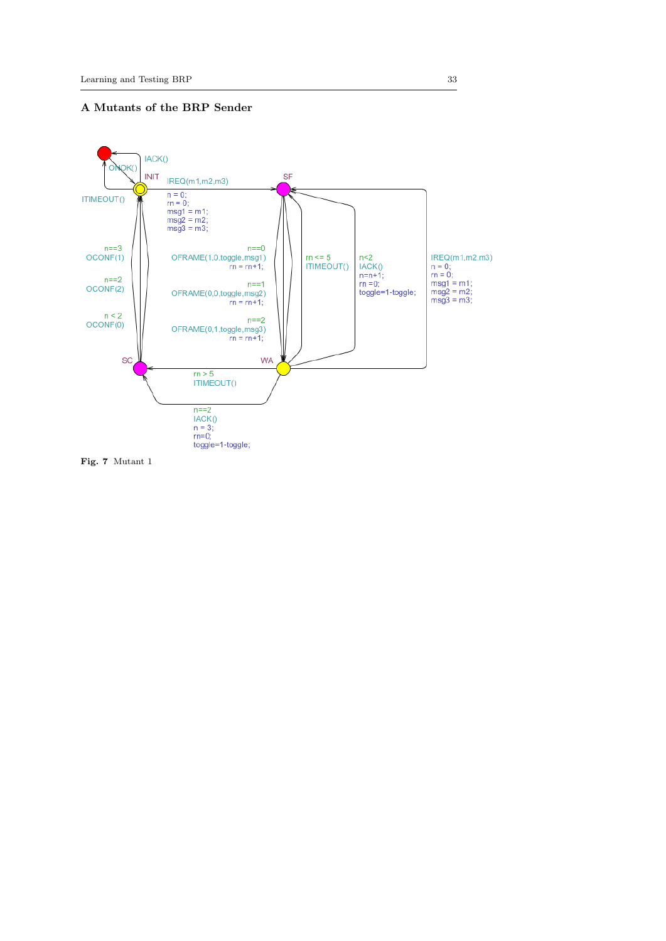

Fig. 7 Mutant 1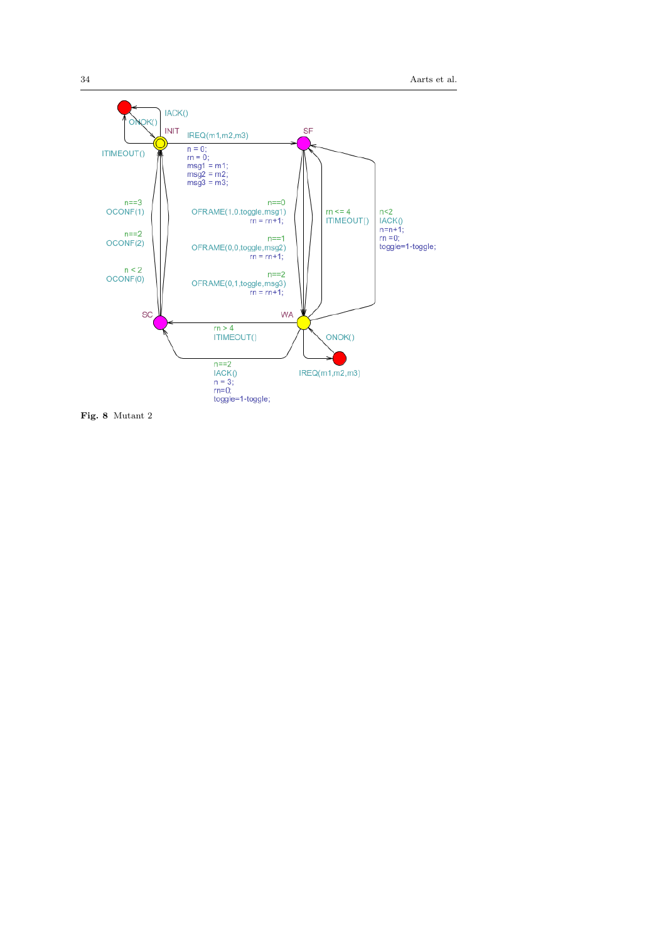34 Aarts et al.



Fig. 8 Mutant 2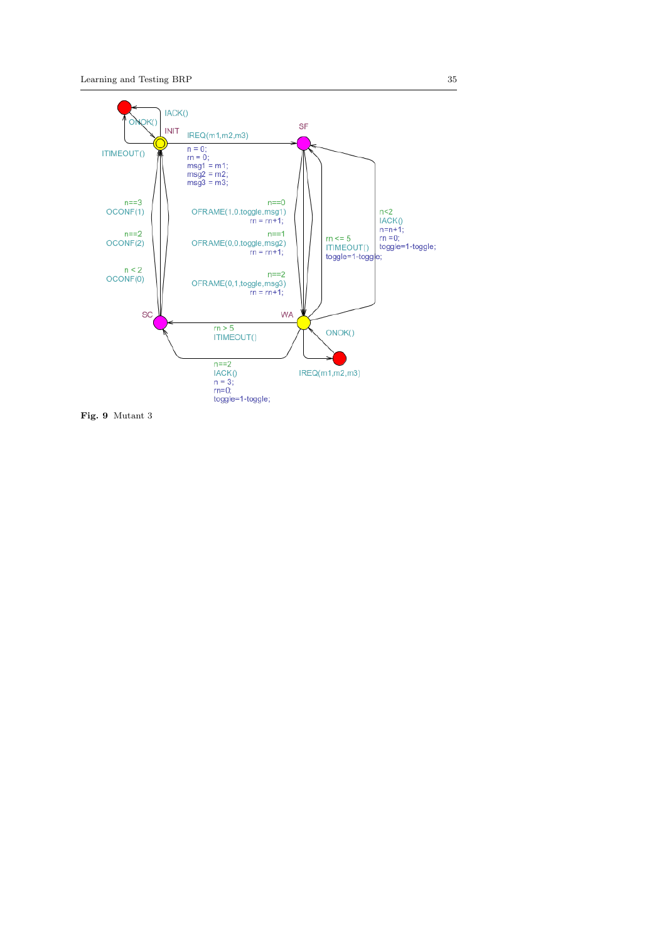

Fig. 9 Mutant 3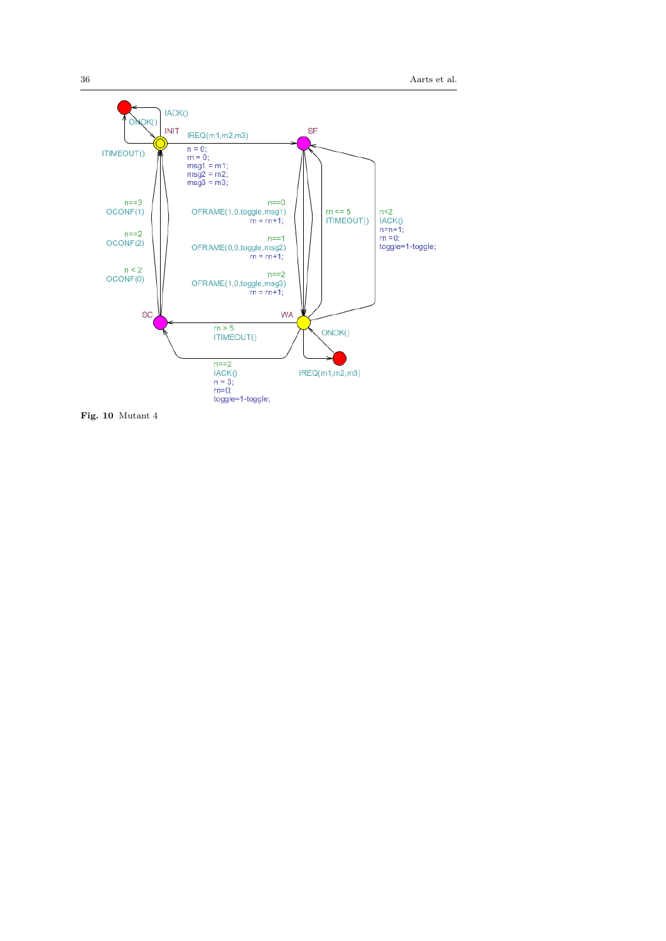36 Aarts et al.



Fig. 10 Mutant 4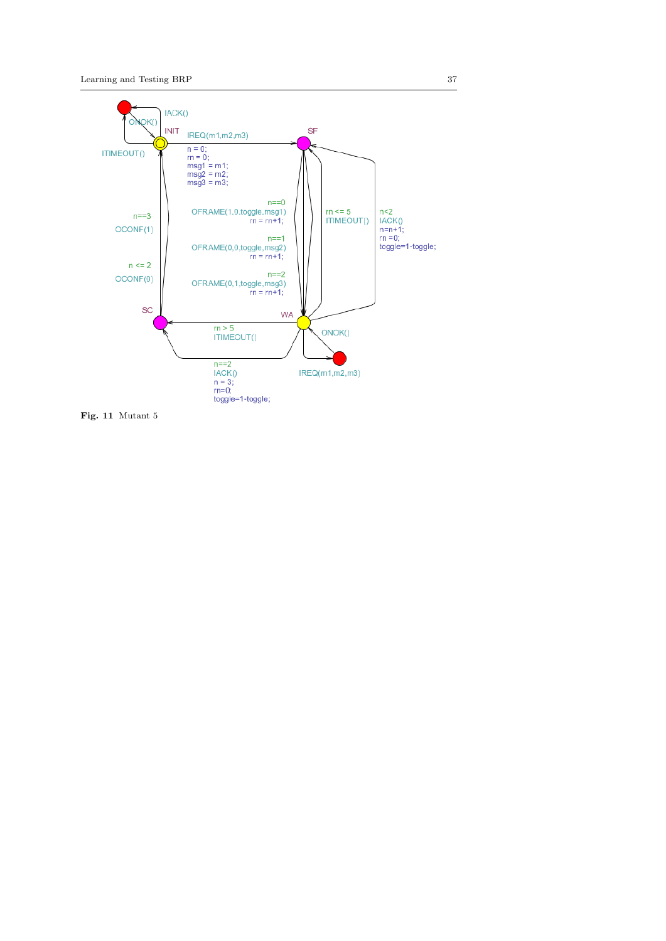

Fig. 11 Mutant 5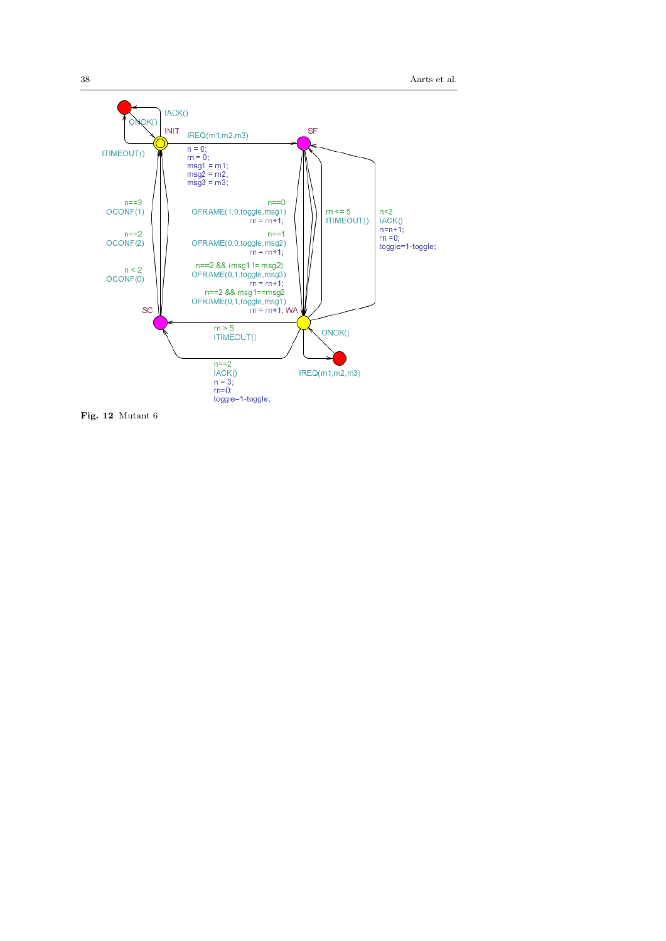38 Aarts et al.



Fig. 12 Mutant 6